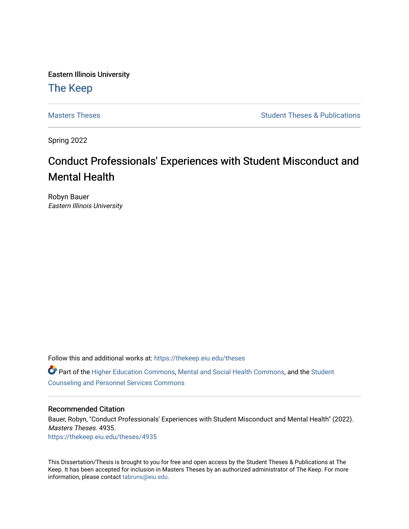Eastern Illinois University

# [The Keep](https://thekeep.eiu.edu/)

[Masters Theses](https://thekeep.eiu.edu/theses) **Student Theses & Publications** Student Theses & Publications

Spring 2022

# Conduct Professionals' Experiences with Student Misconduct and Mental Health

Robyn Bauer Eastern Illinois University

Follow this and additional works at: [https://thekeep.eiu.edu/theses](https://thekeep.eiu.edu/theses?utm_source=thekeep.eiu.edu%2Ftheses%2F4935&utm_medium=PDF&utm_campaign=PDFCoverPages)

Part of the [Higher Education Commons,](https://network.bepress.com/hgg/discipline/1245?utm_source=thekeep.eiu.edu%2Ftheses%2F4935&utm_medium=PDF&utm_campaign=PDFCoverPages) [Mental and Social Health Commons,](https://network.bepress.com/hgg/discipline/709?utm_source=thekeep.eiu.edu%2Ftheses%2F4935&utm_medium=PDF&utm_campaign=PDFCoverPages) and the [Student](https://network.bepress.com/hgg/discipline/802?utm_source=thekeep.eiu.edu%2Ftheses%2F4935&utm_medium=PDF&utm_campaign=PDFCoverPages) [Counseling and Personnel Services Commons](https://network.bepress.com/hgg/discipline/802?utm_source=thekeep.eiu.edu%2Ftheses%2F4935&utm_medium=PDF&utm_campaign=PDFCoverPages) 

### Recommended Citation

Bauer, Robyn, "Conduct Professionals' Experiences with Student Misconduct and Mental Health" (2022). Masters Theses. 4935. [https://thekeep.eiu.edu/theses/4935](https://thekeep.eiu.edu/theses/4935?utm_source=thekeep.eiu.edu%2Ftheses%2F4935&utm_medium=PDF&utm_campaign=PDFCoverPages) 

This Dissertation/Thesis is brought to you for free and open access by the Student Theses & Publications at The Keep. It has been accepted for inclusion in Masters Theses by an authorized administrator of The Keep. For more information, please contact [tabruns@eiu.edu](mailto:tabruns@eiu.edu).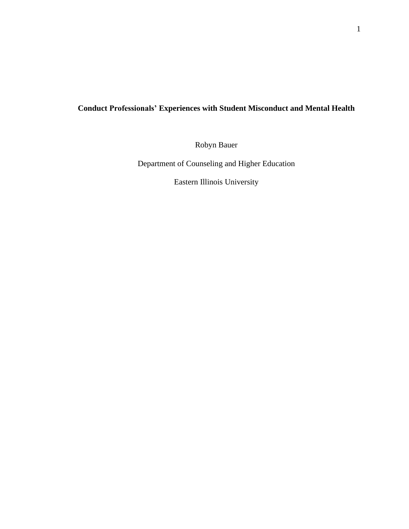# **Conduct Professionals' Experiences with Student Misconduct and Mental Health**

Robyn Bauer

Department of Counseling and Higher Education

Eastern Illinois University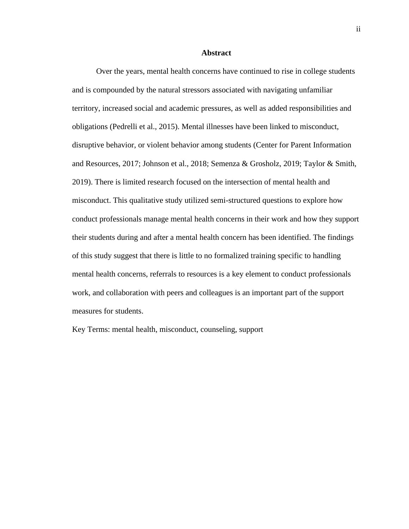#### **Abstract**

<span id="page-2-0"></span>Over the years, mental health concerns have continued to rise in college students and is compounded by the natural stressors associated with navigating unfamiliar territory, increased social and academic pressures, as well as added responsibilities and obligations (Pedrelli et al., 2015). Mental illnesses have been linked to misconduct, disruptive behavior, or violent behavior among students (Center for Parent Information and Resources, 2017; Johnson et al., 2018; Semenza & Grosholz, 2019; Taylor & Smith, 2019). There is limited research focused on the intersection of mental health and misconduct. This qualitative study utilized semi-structured questions to explore how conduct professionals manage mental health concerns in their work and how they support their students during and after a mental health concern has been identified. The findings of this study suggest that there is little to no formalized training specific to handling mental health concerns, referrals to resources is a key element to conduct professionals work, and collaboration with peers and colleagues is an important part of the support measures for students.

Key Terms: mental health, misconduct, counseling, support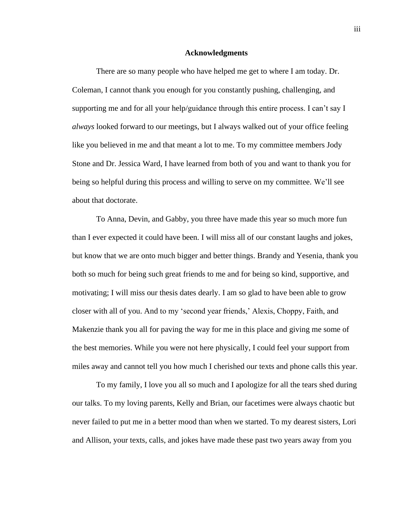#### **Acknowledgments**

<span id="page-3-0"></span>There are so many people who have helped me get to where I am today. Dr. Coleman, I cannot thank you enough for you constantly pushing, challenging, and supporting me and for all your help/guidance through this entire process. I can't say I *always* looked forward to our meetings, but I always walked out of your office feeling like you believed in me and that meant a lot to me. To my committee members Jody Stone and Dr. Jessica Ward, I have learned from both of you and want to thank you for being so helpful during this process and willing to serve on my committee. We'll see about that doctorate.

To Anna, Devin, and Gabby, you three have made this year so much more fun than I ever expected it could have been. I will miss all of our constant laughs and jokes, but know that we are onto much bigger and better things. Brandy and Yesenia, thank you both so much for being such great friends to me and for being so kind, supportive, and motivating; I will miss our thesis dates dearly. I am so glad to have been able to grow closer with all of you. And to my 'second year friends,' Alexis, Choppy, Faith, and Makenzie thank you all for paving the way for me in this place and giving me some of the best memories. While you were not here physically, I could feel your support from miles away and cannot tell you how much I cherished our texts and phone calls this year.

To my family, I love you all so much and I apologize for all the tears shed during our talks. To my loving parents, Kelly and Brian, our facetimes were always chaotic but never failed to put me in a better mood than when we started. To my dearest sisters, Lori and Allison, your texts, calls, and jokes have made these past two years away from you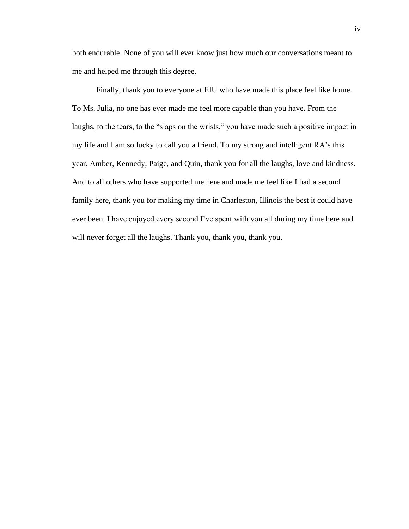both endurable. None of you will ever know just how much our conversations meant to me and helped me through this degree.

Finally, thank you to everyone at EIU who have made this place feel like home. To Ms. Julia, no one has ever made me feel more capable than you have. From the laughs, to the tears, to the "slaps on the wrists," you have made such a positive impact in my life and I am so lucky to call you a friend. To my strong and intelligent RA's this year, Amber, Kennedy, Paige, and Quin, thank you for all the laughs, love and kindness. And to all others who have supported me here and made me feel like I had a second family here, thank you for making my time in Charleston, Illinois the best it could have ever been. I have enjoyed every second I've spent with you all during my time here and will never forget all the laughs. Thank you, thank you, thank you.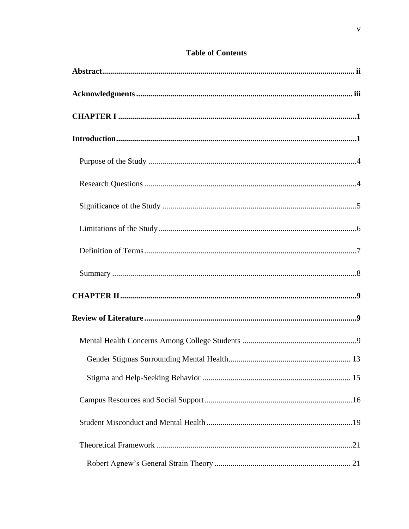# **Table of Contents**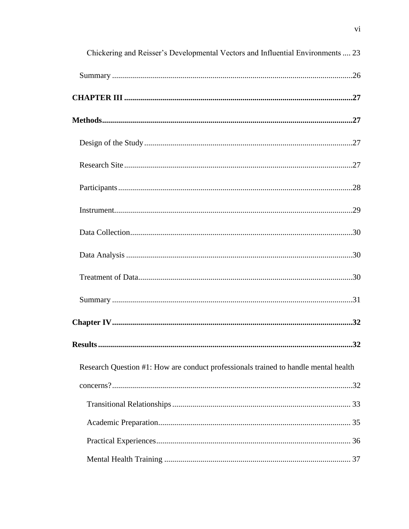| Chickering and Reisser's Developmental Vectors and Influential Environments  23     |
|-------------------------------------------------------------------------------------|
|                                                                                     |
|                                                                                     |
|                                                                                     |
|                                                                                     |
|                                                                                     |
|                                                                                     |
|                                                                                     |
|                                                                                     |
|                                                                                     |
|                                                                                     |
|                                                                                     |
|                                                                                     |
|                                                                                     |
| Research Question #1: How are conduct professionals trained to handle mental health |
|                                                                                     |
|                                                                                     |
|                                                                                     |
|                                                                                     |
|                                                                                     |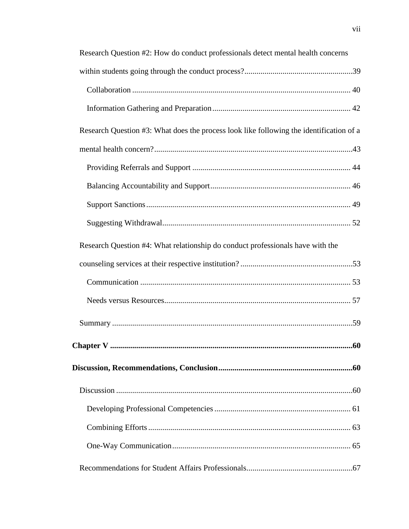| Research Question #2: How do conduct professionals detect mental health concerns        |
|-----------------------------------------------------------------------------------------|
|                                                                                         |
|                                                                                         |
|                                                                                         |
| Research Question #3: What does the process look like following the identification of a |
|                                                                                         |
|                                                                                         |
|                                                                                         |
|                                                                                         |
|                                                                                         |
| Research Question #4: What relationship do conduct professionals have with the          |
|                                                                                         |
|                                                                                         |
|                                                                                         |
|                                                                                         |
|                                                                                         |
|                                                                                         |
|                                                                                         |
|                                                                                         |
|                                                                                         |
|                                                                                         |
|                                                                                         |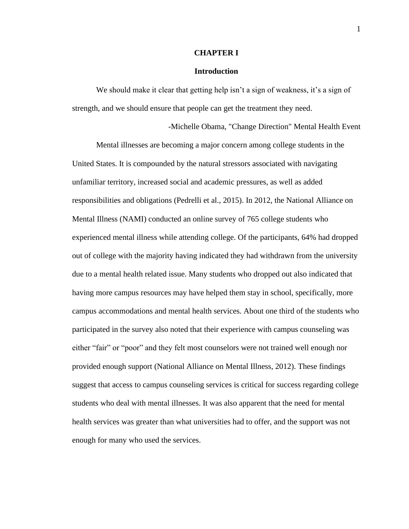#### **CHAPTER I**

#### **Introduction**

<span id="page-9-1"></span><span id="page-9-0"></span>We should make it clear that getting help isn't a sign of weakness, it's a sign of strength, and we should ensure that people can get the treatment they need.

-Michelle Obama, "Change Direction" Mental Health Event

Mental illnesses are becoming a major concern among college students in the United States. It is compounded by the natural stressors associated with navigating unfamiliar territory, increased social and academic pressures, as well as added responsibilities and obligations (Pedrelli et al., 2015). In 2012, the National Alliance on Mental Illness (NAMI) conducted an online survey of 765 college students who experienced mental illness while attending college. Of the participants, 64% had dropped out of college with the majority having indicated they had withdrawn from the university due to a mental health related issue. Many students who dropped out also indicated that having more campus resources may have helped them stay in school, specifically, more campus accommodations and mental health services. About one third of the students who participated in the survey also noted that their experience with campus counseling was either "fair" or "poor" and they felt most counselors were not trained well enough nor provided enough support (National Alliance on Mental Illness, 2012). These findings suggest that access to campus counseling services is critical for success regarding college students who deal with mental illnesses. It was also apparent that the need for mental health services was greater than what universities had to offer, and the support was not enough for many who used the services.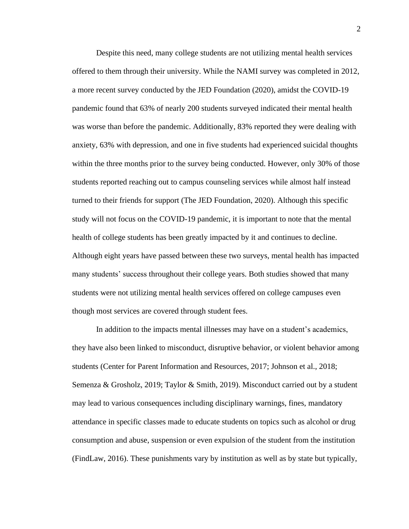Despite this need, many college students are not utilizing mental health services offered to them through their university. While the NAMI survey was completed in 2012, a more recent survey conducted by the JED Foundation (2020), amidst the COVID-19 pandemic found that 63% of nearly 200 students surveyed indicated their mental health was worse than before the pandemic. Additionally, 83% reported they were dealing with anxiety, 63% with depression, and one in five students had experienced suicidal thoughts within the three months prior to the survey being conducted. However, only 30% of those students reported reaching out to campus counseling services while almost half instead turned to their friends for support (The JED Foundation, 2020). Although this specific study will not focus on the COVID-19 pandemic, it is important to note that the mental health of college students has been greatly impacted by it and continues to decline. Although eight years have passed between these two surveys, mental health has impacted many students' success throughout their college years. Both studies showed that many students were not utilizing mental health services offered on college campuses even though most services are covered through student fees.

In addition to the impacts mental illnesses may have on a student's academics, they have also been linked to misconduct, disruptive behavior, or violent behavior among students (Center for Parent Information and Resources, 2017; Johnson et al., 2018; Semenza & Grosholz, 2019; Taylor & Smith, 2019). Misconduct carried out by a student may lead to various consequences including disciplinary warnings, fines, mandatory attendance in specific classes made to educate students on topics such as alcohol or drug consumption and abuse, suspension or even expulsion of the student from the institution (FindLaw, 2016). These punishments vary by institution as well as by state but typically,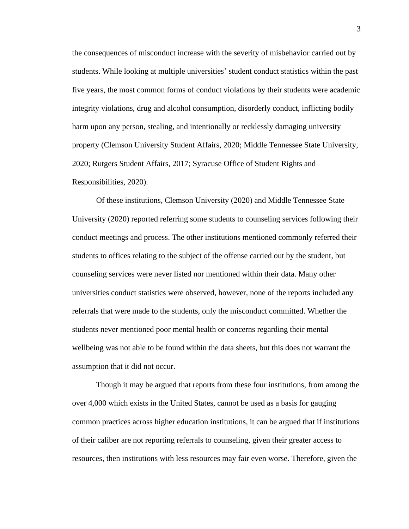the consequences of misconduct increase with the severity of misbehavior carried out by students. While looking at multiple universities' student conduct statistics within the past five years, the most common forms of conduct violations by their students were academic integrity violations, drug and alcohol consumption, disorderly conduct, inflicting bodily harm upon any person, stealing, and intentionally or recklessly damaging university property (Clemson University Student Affairs, 2020; Middle Tennessee State University, 2020; Rutgers Student Affairs, 2017; Syracuse Office of Student Rights and Responsibilities, 2020).

Of these institutions, Clemson University (2020) and Middle Tennessee State University (2020) reported referring some students to counseling services following their conduct meetings and process. The other institutions mentioned commonly referred their students to offices relating to the subject of the offense carried out by the student, but counseling services were never listed nor mentioned within their data. Many other universities conduct statistics were observed, however, none of the reports included any referrals that were made to the students, only the misconduct committed. Whether the students never mentioned poor mental health or concerns regarding their mental wellbeing was not able to be found within the data sheets, but this does not warrant the assumption that it did not occur.

Though it may be argued that reports from these four institutions, from among the over 4,000 which exists in the United States, cannot be used as a basis for gauging common practices across higher education institutions, it can be argued that if institutions of their caliber are not reporting referrals to counseling, given their greater access to resources, then institutions with less resources may fair even worse. Therefore, given the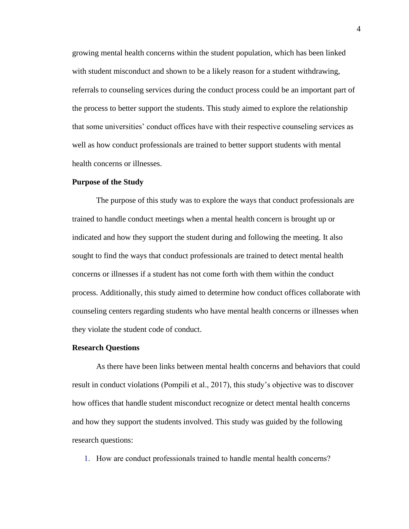growing mental health concerns within the student population, which has been linked with student misconduct and shown to be a likely reason for a student withdrawing, referrals to counseling services during the conduct process could be an important part of the process to better support the students. This study aimed to explore the relationship that some universities' conduct offices have with their respective counseling services as well as how conduct professionals are trained to better support students with mental health concerns or illnesses.

#### <span id="page-12-0"></span>**Purpose of the Study**

The purpose of this study was to explore the ways that conduct professionals are trained to handle conduct meetings when a mental health concern is brought up or indicated and how they support the student during and following the meeting. It also sought to find the ways that conduct professionals are trained to detect mental health concerns or illnesses if a student has not come forth with them within the conduct process. Additionally, this study aimed to determine how conduct offices collaborate with counseling centers regarding students who have mental health concerns or illnesses when they violate the student code of conduct.

#### <span id="page-12-1"></span>**Research Questions**

As there have been links between mental health concerns and behaviors that could result in conduct violations (Pompili et al., 2017), this study's objective was to discover how offices that handle student misconduct recognize or detect mental health concerns and how they support the students involved. This study was guided by the following research questions:

1. How are conduct professionals trained to handle mental health concerns?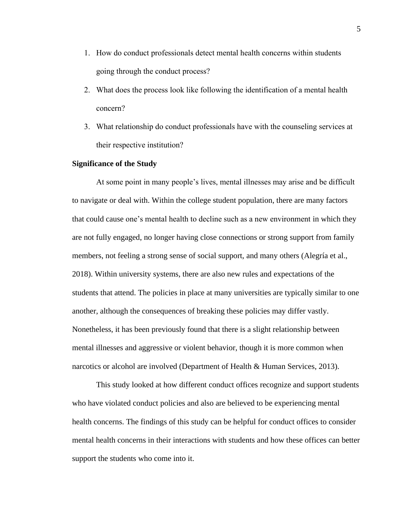- 1. How do conduct professionals detect mental health concerns within students going through the conduct process?
- 2. What does the process look like following the identification of a mental health concern?
- 3. What relationship do conduct professionals have with the counseling services at their respective institution?

### <span id="page-13-0"></span>**Significance of the Study**

At some point in many people's lives, mental illnesses may arise and be difficult to navigate or deal with. Within the college student population, there are many factors that could cause one's mental health to decline such as a new environment in which they are not fully engaged, no longer having close connections or strong support from family members, not feeling a strong sense of social support, and many others (Alegría et al., 2018). Within university systems, there are also new rules and expectations of the students that attend. The policies in place at many universities are typically similar to one another, although the consequences of breaking these policies may differ vastly. Nonetheless, it has been previously found that there is a slight relationship between mental illnesses and aggressive or violent behavior, though it is more common when narcotics or alcohol are involved (Department of Health & Human Services, 2013).

This study looked at how different conduct offices recognize and support students who have violated conduct policies and also are believed to be experiencing mental health concerns. The findings of this study can be helpful for conduct offices to consider mental health concerns in their interactions with students and how these offices can better support the students who come into it.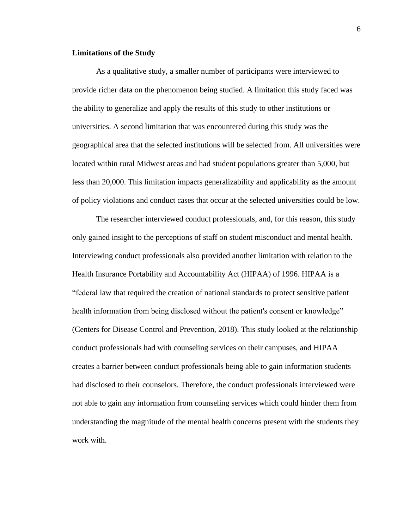#### <span id="page-14-0"></span>**Limitations of the Study**

As a qualitative study, a smaller number of participants were interviewed to provide richer data on the phenomenon being studied. A limitation this study faced was the ability to generalize and apply the results of this study to other institutions or universities. A second limitation that was encountered during this study was the geographical area that the selected institutions will be selected from. All universities were located within rural Midwest areas and had student populations greater than 5,000, but less than 20,000. This limitation impacts generalizability and applicability as the amount of policy violations and conduct cases that occur at the selected universities could be low.

The researcher interviewed conduct professionals, and, for this reason, this study only gained insight to the perceptions of staff on student misconduct and mental health. Interviewing conduct professionals also provided another limitation with relation to the Health Insurance Portability and Accountability Act (HIPAA) of 1996. HIPAA is a "federal law that required the creation of national standards to protect sensitive patient health information from being disclosed without the patient's consent or knowledge" (Centers for Disease Control and Prevention, 2018). This study looked at the relationship conduct professionals had with counseling services on their campuses, and HIPAA creates a barrier between conduct professionals being able to gain information students had disclosed to their counselors. Therefore, the conduct professionals interviewed were not able to gain any information from counseling services which could hinder them from understanding the magnitude of the mental health concerns present with the students they work with.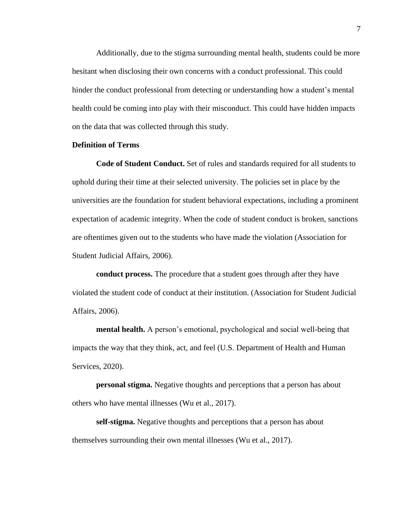Additionally, due to the stigma surrounding mental health, students could be more hesitant when disclosing their own concerns with a conduct professional. This could hinder the conduct professional from detecting or understanding how a student's mental health could be coming into play with their misconduct. This could have hidden impacts on the data that was collected through this study.

### <span id="page-15-0"></span>**Definition of Terms**

**Code of Student Conduct.** Set of rules and standards required for all students to uphold during their time at their selected university. The policies set in place by the universities are the foundation for student behavioral expectations, including a prominent expectation of academic integrity. When the code of student conduct is broken, sanctions are oftentimes given out to the students who have made the violation (Association for Student Judicial Affairs, 2006).

**conduct process.** The procedure that a student goes through after they have violated the student code of conduct at their institution. (Association for Student Judicial Affairs, 2006).

**mental health.** A person's emotional, psychological and social well-being that impacts the way that they think, act, and feel (U.S. Department of Health and Human Services, 2020).

**personal stigma.** Negative thoughts and perceptions that a person has about others who have mental illnesses (Wu et al., 2017).

**self-stigma.** Negative thoughts and perceptions that a person has about themselves surrounding their own mental illnesses (Wu et al., 2017).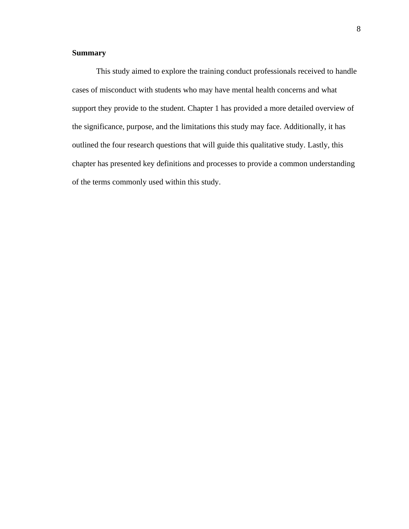# <span id="page-16-0"></span>**Summary**

This study aimed to explore the training conduct professionals received to handle cases of misconduct with students who may have mental health concerns and what support they provide to the student. Chapter 1 has provided a more detailed overview of the significance, purpose, and the limitations this study may face. Additionally, it has outlined the four research questions that will guide this qualitative study. Lastly, this chapter has presented key definitions and processes to provide a common understanding of the terms commonly used within this study.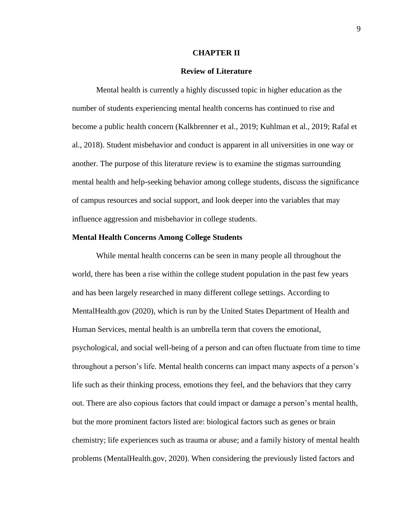#### **CHAPTER II**

#### **Review of Literature**

<span id="page-17-1"></span><span id="page-17-0"></span>Mental health is currently a highly discussed topic in higher education as the number of students experiencing mental health concerns has continued to rise and become a public health concern (Kalkbrenner et al., 2019; Kuhlman et al., 2019; Rafal et al., 2018). Student misbehavior and conduct is apparent in all universities in one way or another. The purpose of this literature review is to examine the stigmas surrounding mental health and help-seeking behavior among college students, discuss the significance of campus resources and social support, and look deeper into the variables that may influence aggression and misbehavior in college students.

#### <span id="page-17-2"></span>**Mental Health Concerns Among College Students**

While mental health concerns can be seen in many people all throughout the world, there has been a rise within the college student population in the past few years and has been largely researched in many different college settings. According to MentalHealth.gov (2020), which is run by the United States Department of Health and Human Services, mental health is an umbrella term that covers the emotional, psychological, and social well-being of a person and can often fluctuate from time to time throughout a person's life. Mental health concerns can impact many aspects of a person's life such as their thinking process, emotions they feel, and the behaviors that they carry out. There are also copious factors that could impact or damage a person's mental health, but the more prominent factors listed are: biological factors such as genes or brain chemistry; life experiences such as trauma or abuse; and a family history of mental health problems (MentalHealth.gov, 2020). When considering the previously listed factors and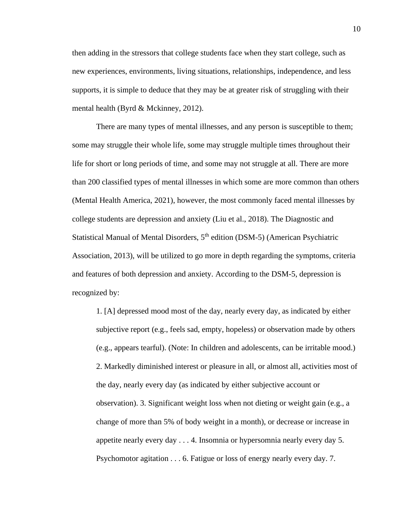then adding in the stressors that college students face when they start college, such as new experiences, environments, living situations, relationships, independence, and less supports, it is simple to deduce that they may be at greater risk of struggling with their mental health (Byrd & Mckinney, 2012).

There are many types of mental illnesses, and any person is susceptible to them; some may struggle their whole life, some may struggle multiple times throughout their life for short or long periods of time, and some may not struggle at all. There are more than 200 classified types of mental illnesses in which some are more common than others (Mental Health America, 2021), however, the most commonly faced mental illnesses by college students are depression and anxiety (Liu et al., 2018). The Diagnostic and Statistical Manual of Mental Disorders,  $5<sup>th</sup>$  edition (DSM-5) (American Psychiatric Association, 2013), will be utilized to go more in depth regarding the symptoms, criteria and features of both depression and anxiety. According to the DSM-5, depression is recognized by:

1. [A] depressed mood most of the day, nearly every day, as indicated by either subjective report (e.g., feels sad, empty, hopeless) or observation made by others (e.g., appears tearful). (Note: In children and adolescents, can be irritable mood.) 2. Markedly diminished interest or pleasure in all, or almost all, activities most of the day, nearly every day (as indicated by either subjective account or observation). 3. Significant weight loss when not dieting or weight gain (e.g., a change of more than 5% of body weight in a month), or decrease or increase in appetite nearly every day . . . 4. Insomnia or hypersomnia nearly every day 5. Psychomotor agitation . . . 6. Fatigue or loss of energy nearly every day. 7.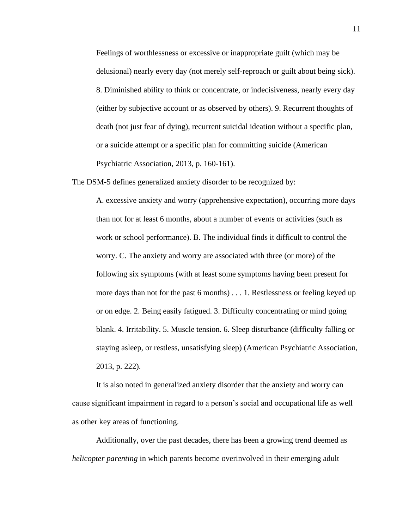Feelings of worthlessness or excessive or inappropriate guilt (which may be delusional) nearly every day (not merely self-reproach or guilt about being sick). 8. Diminished ability to think or concentrate, or indecisiveness, nearly every day (either by subjective account or as observed by others). 9. Recurrent thoughts of death (not just fear of dying), recurrent suicidal ideation without a specific plan, or a suicide attempt or a specific plan for committing suicide (American Psychiatric Association, 2013, p. 160-161).

The DSM-5 defines generalized anxiety disorder to be recognized by:

A. excessive anxiety and worry (apprehensive expectation), occurring more days than not for at least 6 months, about a number of events or activities (such as work or school performance). B. The individual finds it difficult to control the worry. C. The anxiety and worry are associated with three (or more) of the following six symptoms (with at least some symptoms having been present for more days than not for the past 6 months) . . . 1. Restlessness or feeling keyed up or on edge. 2. Being easily fatigued. 3. Difficulty concentrating or mind going blank. 4. Irritability. 5. Muscle tension. 6. Sleep disturbance (difficulty falling or staying asleep, or restless, unsatisfying sleep) (American Psychiatric Association, 2013, p. 222).

It is also noted in generalized anxiety disorder that the anxiety and worry can cause significant impairment in regard to a person's social and occupational life as well as other key areas of functioning.

Additionally, over the past decades, there has been a growing trend deemed as *helicopter parenting* in which parents become overinvolved in their emerging adult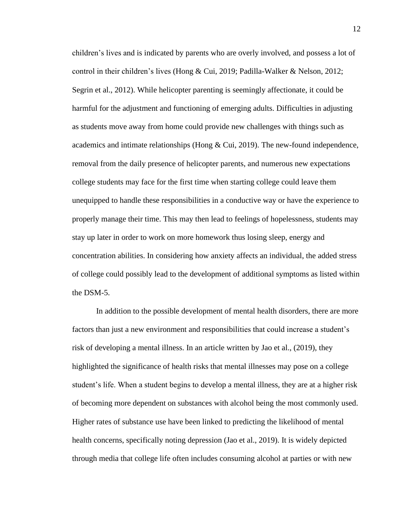children's lives and is indicated by parents who are overly involved, and possess a lot of control in their children's lives (Hong & Cui, 2019; Padilla-Walker & Nelson, 2012; Segrin et al., 2012). While helicopter parenting is seemingly affectionate, it could be harmful for the adjustment and functioning of emerging adults. Difficulties in adjusting as students move away from home could provide new challenges with things such as academics and intimate relationships (Hong  $& Cui, 2019$ ). The new-found independence, removal from the daily presence of helicopter parents, and numerous new expectations college students may face for the first time when starting college could leave them unequipped to handle these responsibilities in a conductive way or have the experience to properly manage their time. This may then lead to feelings of hopelessness, students may stay up later in order to work on more homework thus losing sleep, energy and concentration abilities. In considering how anxiety affects an individual, the added stress of college could possibly lead to the development of additional symptoms as listed within the DSM-5.

In addition to the possible development of mental health disorders, there are more factors than just a new environment and responsibilities that could increase a student's risk of developing a mental illness. In an article written by Jao et al., (2019), they highlighted the significance of health risks that mental illnesses may pose on a college student's life. When a student begins to develop a mental illness, they are at a higher risk of becoming more dependent on substances with alcohol being the most commonly used. Higher rates of substance use have been linked to predicting the likelihood of mental health concerns, specifically noting depression (Jao et al., 2019). It is widely depicted through media that college life often includes consuming alcohol at parties or with new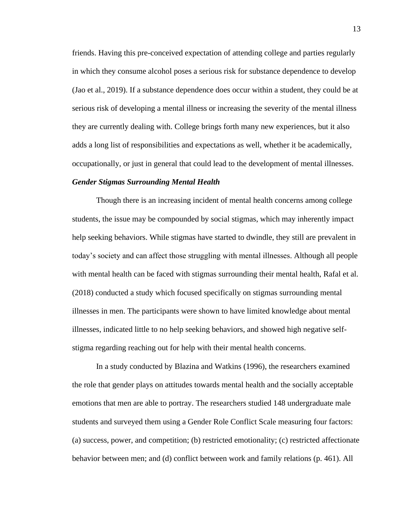friends. Having this pre-conceived expectation of attending college and parties regularly in which they consume alcohol poses a serious risk for substance dependence to develop (Jao et al., 2019). If a substance dependence does occur within a student, they could be at serious risk of developing a mental illness or increasing the severity of the mental illness they are currently dealing with. College brings forth many new experiences, but it also adds a long list of responsibilities and expectations as well, whether it be academically, occupationally, or just in general that could lead to the development of mental illnesses.

#### <span id="page-21-0"></span>*Gender Stigmas Surrounding Mental Health*

Though there is an increasing incident of mental health concerns among college students, the issue may be compounded by social stigmas, which may inherently impact help seeking behaviors. While stigmas have started to dwindle, they still are prevalent in today's society and can affect those struggling with mental illnesses. Although all people with mental health can be faced with stigmas surrounding their mental health, Rafal et al. (2018) conducted a study which focused specifically on stigmas surrounding mental illnesses in men. The participants were shown to have limited knowledge about mental illnesses, indicated little to no help seeking behaviors, and showed high negative selfstigma regarding reaching out for help with their mental health concerns.

In a study conducted by Blazina and Watkins (1996), the researchers examined the role that gender plays on attitudes towards mental health and the socially acceptable emotions that men are able to portray. The researchers studied 148 undergraduate male students and surveyed them using a Gender Role Conflict Scale measuring four factors: (a) success, power, and competition; (b) restricted emotionality; (c) restricted affectionate behavior between men; and (d) conflict between work and family relations (p. 461). All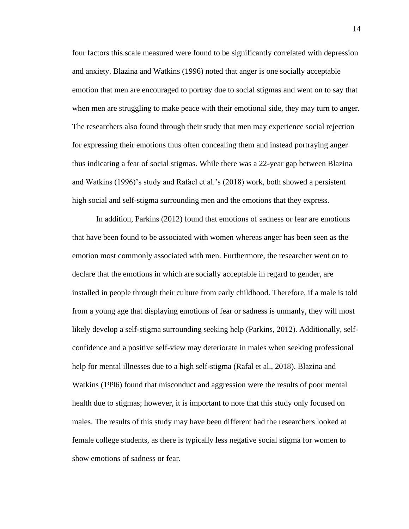four factors this scale measured were found to be significantly correlated with depression and anxiety. Blazina and Watkins (1996) noted that anger is one socially acceptable emotion that men are encouraged to portray due to social stigmas and went on to say that when men are struggling to make peace with their emotional side, they may turn to anger. The researchers also found through their study that men may experience social rejection for expressing their emotions thus often concealing them and instead portraying anger thus indicating a fear of social stigmas. While there was a 22-year gap between Blazina and Watkins (1996)'s study and Rafael et al.'s (2018) work, both showed a persistent high social and self-stigma surrounding men and the emotions that they express.

In addition, Parkins (2012) found that emotions of sadness or fear are emotions that have been found to be associated with women whereas anger has been seen as the emotion most commonly associated with men. Furthermore, the researcher went on to declare that the emotions in which are socially acceptable in regard to gender, are installed in people through their culture from early childhood. Therefore, if a male is told from a young age that displaying emotions of fear or sadness is unmanly, they will most likely develop a self-stigma surrounding seeking help (Parkins, 2012). Additionally, selfconfidence and a positive self-view may deteriorate in males when seeking professional help for mental illnesses due to a high self-stigma (Rafal et al., 2018). Blazina and Watkins (1996) found that misconduct and aggression were the results of poor mental health due to stigmas; however, it is important to note that this study only focused on males. The results of this study may have been different had the researchers looked at female college students, as there is typically less negative social stigma for women to show emotions of sadness or fear.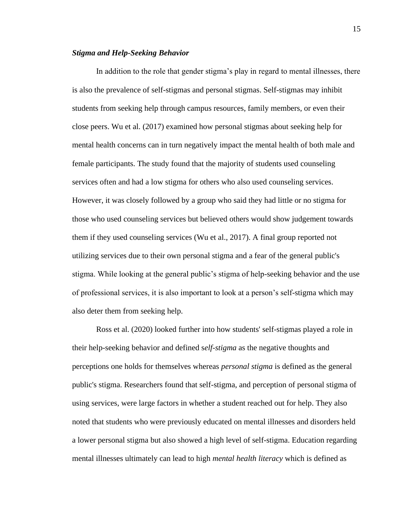#### <span id="page-23-0"></span>*Stigma and Help-Seeking Behavior*

In addition to the role that gender stigma's play in regard to mental illnesses, there is also the prevalence of self-stigmas and personal stigmas. Self-stigmas may inhibit students from seeking help through campus resources, family members, or even their close peers. Wu et al. (2017) examined how personal stigmas about seeking help for mental health concerns can in turn negatively impact the mental health of both male and female participants. The study found that the majority of students used counseling services often and had a low stigma for others who also used counseling services. However, it was closely followed by a group who said they had little or no stigma for those who used counseling services but believed others would show judgement towards them if they used counseling services (Wu et al., 2017). A final group reported not utilizing services due to their own personal stigma and a fear of the general public's stigma. While looking at the general public's stigma of help-seeking behavior and the use of professional services, it is also important to look at a person's self-stigma which may also deter them from seeking help.

Ross et al. (2020) looked further into how students' self-stigmas played a role in their help-seeking behavior and defined s*elf-stigma* as the negative thoughts and perceptions one holds for themselves whereas *personal stigma* is defined as the general public's stigma. Researchers found that self-stigma, and perception of personal stigma of using services, were large factors in whether a student reached out for help. They also noted that students who were previously educated on mental illnesses and disorders held a lower personal stigma but also showed a high level of self-stigma. Education regarding mental illnesses ultimately can lead to high *mental health literacy* which is defined as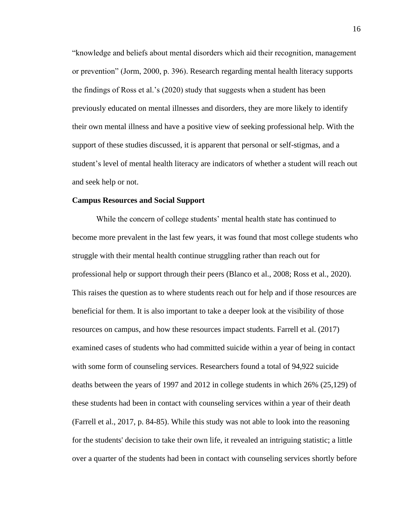"knowledge and beliefs about mental disorders which aid their recognition, management or prevention" (Jorm, 2000, p. 396). Research regarding mental health literacy supports the findings of Ross et al.'s (2020) study that suggests when a student has been previously educated on mental illnesses and disorders, they are more likely to identify their own mental illness and have a positive view of seeking professional help. With the support of these studies discussed, it is apparent that personal or self-stigmas, and a student's level of mental health literacy are indicators of whether a student will reach out and seek help or not.

#### <span id="page-24-0"></span>**Campus Resources and Social Support**

While the concern of college students' mental health state has continued to become more prevalent in the last few years, it was found that most college students who struggle with their mental health continue struggling rather than reach out for professional help or support through their peers (Blanco et al., 2008; Ross et al., 2020). This raises the question as to where students reach out for help and if those resources are beneficial for them. It is also important to take a deeper look at the visibility of those resources on campus, and how these resources impact students. Farrell et al. (2017) examined cases of students who had committed suicide within a year of being in contact with some form of counseling services. Researchers found a total of 94,922 suicide deaths between the years of 1997 and 2012 in college students in which 26% (25,129) of these students had been in contact with counseling services within a year of their death (Farrell et al., 2017, p. 84-85). While this study was not able to look into the reasoning for the students' decision to take their own life, it revealed an intriguing statistic; a little over a quarter of the students had been in contact with counseling services shortly before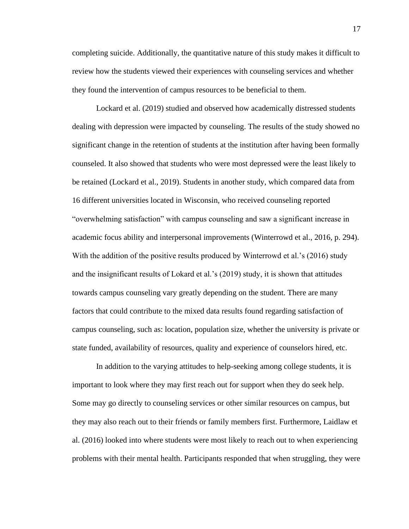completing suicide. Additionally, the quantitative nature of this study makes it difficult to review how the students viewed their experiences with counseling services and whether they found the intervention of campus resources to be beneficial to them.

Lockard et al. (2019) studied and observed how academically distressed students dealing with depression were impacted by counseling. The results of the study showed no significant change in the retention of students at the institution after having been formally counseled. It also showed that students who were most depressed were the least likely to be retained (Lockard et al., 2019). Students in another study, which compared data from 16 different universities located in Wisconsin, who received counseling reported "overwhelming satisfaction" with campus counseling and saw a significant increase in academic focus ability and interpersonal improvements (Winterrowd et al., 2016, p. 294). With the addition of the positive results produced by Winterrowd et al.'s (2016) study and the insignificant results of Lokard et al.'s (2019) study, it is shown that attitudes towards campus counseling vary greatly depending on the student. There are many factors that could contribute to the mixed data results found regarding satisfaction of campus counseling, such as: location, population size, whether the university is private or state funded, availability of resources, quality and experience of counselors hired, etc.

In addition to the varying attitudes to help-seeking among college students, it is important to look where they may first reach out for support when they do seek help. Some may go directly to counseling services or other similar resources on campus, but they may also reach out to their friends or family members first. Furthermore, Laidlaw et al. (2016) looked into where students were most likely to reach out to when experiencing problems with their mental health. Participants responded that when struggling, they were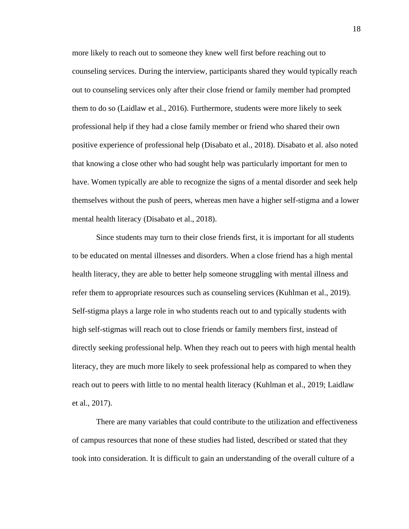more likely to reach out to someone they knew well first before reaching out to counseling services. During the interview, participants shared they would typically reach out to counseling services only after their close friend or family member had prompted them to do so (Laidlaw et al., 2016). Furthermore, students were more likely to seek professional help if they had a close family member or friend who shared their own positive experience of professional help (Disabato et al., 2018). Disabato et al. also noted that knowing a close other who had sought help was particularly important for men to have. Women typically are able to recognize the signs of a mental disorder and seek help themselves without the push of peers, whereas men have a higher self-stigma and a lower mental health literacy (Disabato et al., 2018).

Since students may turn to their close friends first, it is important for all students to be educated on mental illnesses and disorders. When a close friend has a high mental health literacy, they are able to better help someone struggling with mental illness and refer them to appropriate resources such as counseling services (Kuhlman et al., 2019). Self-stigma plays a large role in who students reach out to and typically students with high self-stigmas will reach out to close friends or family members first, instead of directly seeking professional help. When they reach out to peers with high mental health literacy, they are much more likely to seek professional help as compared to when they reach out to peers with little to no mental health literacy (Kuhlman et al., 2019; Laidlaw et al., 2017).

There are many variables that could contribute to the utilization and effectiveness of campus resources that none of these studies had listed, described or stated that they took into consideration. It is difficult to gain an understanding of the overall culture of a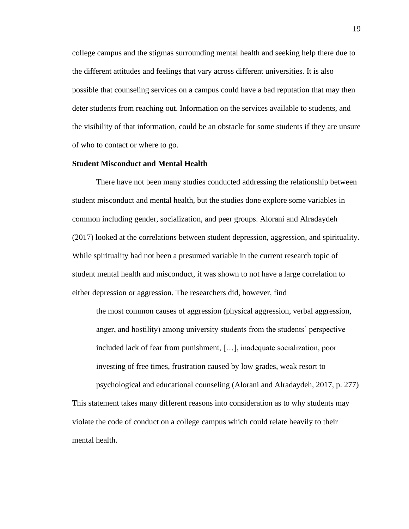college campus and the stigmas surrounding mental health and seeking help there due to the different attitudes and feelings that vary across different universities. It is also possible that counseling services on a campus could have a bad reputation that may then deter students from reaching out. Information on the services available to students, and the visibility of that information, could be an obstacle for some students if they are unsure of who to contact or where to go.

#### <span id="page-27-0"></span>**Student Misconduct and Mental Health**

There have not been many studies conducted addressing the relationship between student misconduct and mental health, but the studies done explore some variables in common including gender, socialization, and peer groups. Alorani and Alradaydeh (2017) looked at the correlations between student depression, aggression, and spirituality. While spirituality had not been a presumed variable in the current research topic of student mental health and misconduct, it was shown to not have a large correlation to either depression or aggression. The researchers did, however, find

the most common causes of aggression (physical aggression, verbal aggression, anger, and hostility) among university students from the students' perspective included lack of fear from punishment, […], inadequate socialization, poor investing of free times, frustration caused by low grades, weak resort to psychological and educational counseling (Alorani and Alradaydeh, 2017, p. 277)

This statement takes many different reasons into consideration as to why students may violate the code of conduct on a college campus which could relate heavily to their mental health.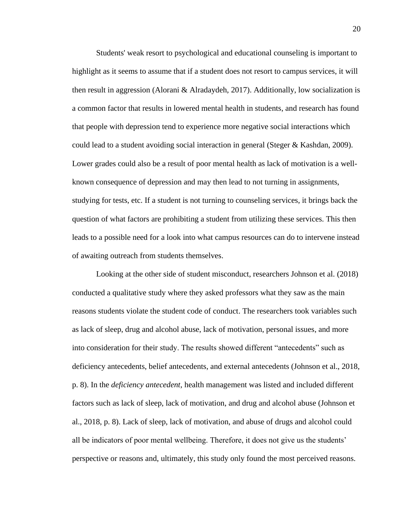Students' weak resort to psychological and educational counseling is important to highlight as it seems to assume that if a student does not resort to campus services, it will then result in aggression (Alorani & Alradaydeh, 2017). Additionally, low socialization is a common factor that results in lowered mental health in students, and research has found that people with depression tend to experience more negative social interactions which could lead to a student avoiding social interaction in general (Steger & Kashdan, 2009). Lower grades could also be a result of poor mental health as lack of motivation is a wellknown consequence of depression and may then lead to not turning in assignments, studying for tests, etc. If a student is not turning to counseling services, it brings back the question of what factors are prohibiting a student from utilizing these services. This then leads to a possible need for a look into what campus resources can do to intervene instead of awaiting outreach from students themselves.

Looking at the other side of student misconduct, researchers Johnson et al. (2018) conducted a qualitative study where they asked professors what they saw as the main reasons students violate the student code of conduct. The researchers took variables such as lack of sleep, drug and alcohol abuse, lack of motivation, personal issues, and more into consideration for their study. The results showed different "antecedents" such as deficiency antecedents, belief antecedents, and external antecedents (Johnson et al., 2018, p. 8). In the *deficiency antecedent*, health management was listed and included different factors such as lack of sleep, lack of motivation, and drug and alcohol abuse (Johnson et al., 2018, p. 8). Lack of sleep, lack of motivation, and abuse of drugs and alcohol could all be indicators of poor mental wellbeing. Therefore, it does not give us the students' perspective or reasons and, ultimately, this study only found the most perceived reasons.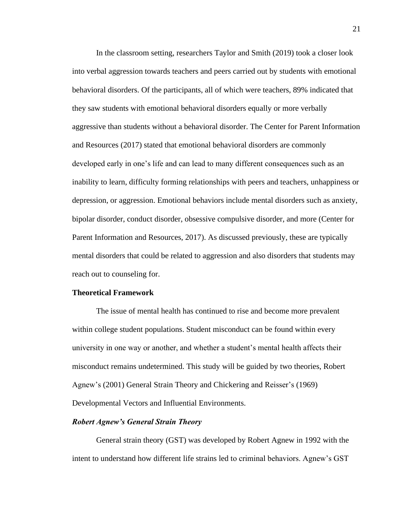In the classroom setting, researchers Taylor and Smith (2019) took a closer look into verbal aggression towards teachers and peers carried out by students with emotional behavioral disorders. Of the participants, all of which were teachers, 89% indicated that they saw students with emotional behavioral disorders equally or more verbally aggressive than students without a behavioral disorder. The Center for Parent Information and Resources (2017) stated that emotional behavioral disorders are commonly developed early in one's life and can lead to many different consequences such as an inability to learn, difficulty forming relationships with peers and teachers, unhappiness or depression, or aggression. Emotional behaviors include mental disorders such as anxiety, bipolar disorder, conduct disorder, obsessive compulsive disorder, and more (Center for Parent Information and Resources, 2017). As discussed previously, these are typically mental disorders that could be related to aggression and also disorders that students may reach out to counseling for.

#### <span id="page-29-0"></span>**Theoretical Framework**

The issue of mental health has continued to rise and become more prevalent within college student populations. Student misconduct can be found within every university in one way or another, and whether a student's mental health affects their misconduct remains undetermined. This study will be guided by two theories, Robert Agnew's (2001) General Strain Theory and Chickering and Reisser's (1969) Developmental Vectors and Influential Environments.

#### <span id="page-29-1"></span>*Robert Agnew's General Strain Theory*

General strain theory (GST) was developed by Robert Agnew in 1992 with the intent to understand how different life strains led to criminal behaviors. Agnew's GST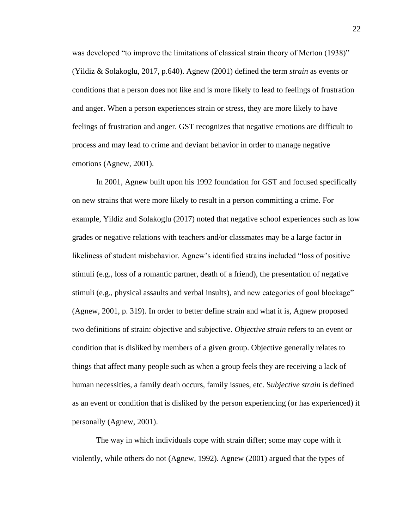was developed "to improve the limitations of classical strain theory of Merton (1938)" (Yildiz & Solakoglu, 2017, p.640). Agnew (2001) defined the term *strain* as events or conditions that a person does not like and is more likely to lead to feelings of frustration and anger. When a person experiences strain or stress, they are more likely to have feelings of frustration and anger. GST recognizes that negative emotions are difficult to process and may lead to crime and deviant behavior in order to manage negative emotions (Agnew, 2001).

In 2001, Agnew built upon his 1992 foundation for GST and focused specifically on new strains that were more likely to result in a person committing a crime. For example, Yildiz and Solakoglu (2017) noted that negative school experiences such as low grades or negative relations with teachers and/or classmates may be a large factor in likeliness of student misbehavior. Agnew's identified strains included "loss of positive stimuli (e.g., loss of a romantic partner, death of a friend), the presentation of negative stimuli (e.g., physical assaults and verbal insults), and new categories of goal blockage" (Agnew, 2001, p. 319). In order to better define strain and what it is, Agnew proposed two definitions of strain: objective and subjective. *Objective strain* refers to an event or condition that is disliked by members of a given group. Objective generally relates to things that affect many people such as when a group feels they are receiving a lack of human necessities, a family death occurs, family issues, etc. S*ubjective strain* is defined as an event or condition that is disliked by the person experiencing (or has experienced) it personally (Agnew, 2001).

The way in which individuals cope with strain differ; some may cope with it violently, while others do not (Agnew, 1992). Agnew (2001) argued that the types of 22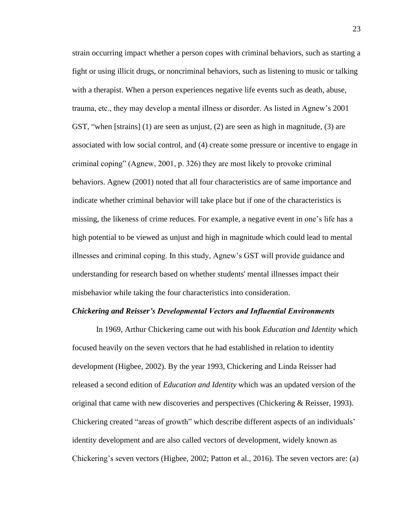strain occurring impact whether a person copes with criminal behaviors, such as starting a fight or using illicit drugs, or noncriminal behaviors, such as listening to music or talking with a therapist. When a person experiences negative life events such as death, abuse, trauma, etc., they may develop a mental illness or disorder. As listed in Agnew's 2001 GST, "when [strains] (1) are seen as unjust, (2) are seen as high in magnitude, (3) are associated with low social control, and (4) create some pressure or incentive to engage in criminal coping" (Agnew, 2001, p. 326) they are most likely to provoke criminal behaviors. Agnew (2001) noted that all four characteristics are of same importance and indicate whether criminal behavior will take place but if one of the characteristics is missing, the likeness of crime reduces. For example, a negative event in one's life has a high potential to be viewed as unjust and high in magnitude which could lead to mental illnesses and criminal coping. In this study, Agnew's GST will provide guidance and understanding for research based on whether students' mental illnesses impact their misbehavior while taking the four characteristics into consideration.

#### <span id="page-31-0"></span>*Chickering and Reisser's Developmental Vectors and Influential Environments*

In 1969, Arthur Chickering came out with his book *Education and Identity* which focused heavily on the seven vectors that he had established in relation to identity development (Higbee, 2002). By the year 1993, Chickering and Linda Reisser had released a second edition of *Education and Identity* which was an updated version of the original that came with new discoveries and perspectives (Chickering & Reisser, 1993). Chickering created "areas of growth" which describe different aspects of an individuals' identity development and are also called vectors of development, widely known as Chickering's seven vectors (Higbee, 2002; Patton et al., 2016). The seven vectors are: (a)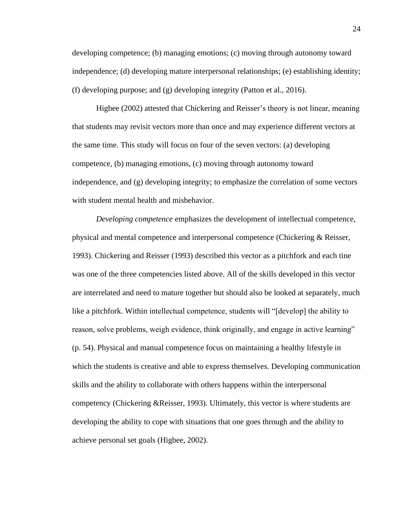developing competence; (b) managing emotions; (c) moving through autonomy toward independence; (d) developing mature interpersonal relationships; (e) establishing identity; (f) developing purpose; and (g) developing integrity (Patton et al., 2016).

Higbee (2002) attested that Chickering and Reisser's theory is not linear, meaning that students may revisit vectors more than once and may experience different vectors at the same time. This study will focus on four of the seven vectors: (a) developing competence, (b) managing emotions, (c) moving through autonomy toward independence, and (g) developing integrity; to emphasize the correlation of some vectors with student mental health and misbehavior.

*Developing competence* emphasizes the development of intellectual competence, physical and mental competence and interpersonal competence (Chickering & Reisser, 1993). Chickering and Reisser (1993) described this vector as a pitchfork and each tine was one of the three competencies listed above. All of the skills developed in this vector are interrelated and need to mature together but should also be looked at separately, much like a pitchfork. Within intellectual competence, students will "[develop] the ability to reason, solve problems, weigh evidence, think originally, and engage in active learning" (p. 54). Physical and manual competence focus on maintaining a healthy lifestyle in which the students is creative and able to express themselves. Developing communication skills and the ability to collaborate with others happens within the interpersonal competency (Chickering &Reisser, 1993). Ultimately, this vector is where students are developing the ability to cope with situations that one goes through and the ability to achieve personal set goals (Higbee, 2002).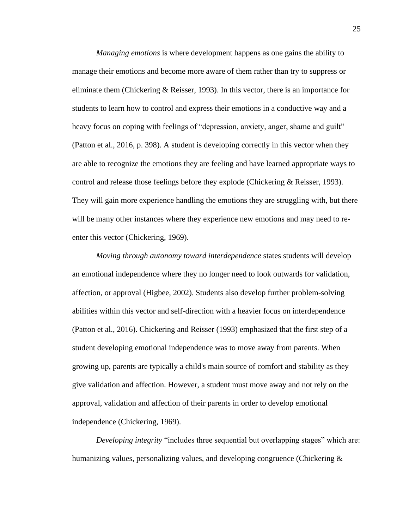*Managing emotions* is where development happens as one gains the ability to manage their emotions and become more aware of them rather than try to suppress or eliminate them (Chickering & Reisser, 1993). In this vector, there is an importance for students to learn how to control and express their emotions in a conductive way and a heavy focus on coping with feelings of "depression, anxiety, anger, shame and guilt" (Patton et al., 2016, p. 398). A student is developing correctly in this vector when they are able to recognize the emotions they are feeling and have learned appropriate ways to control and release those feelings before they explode (Chickering & Reisser, 1993). They will gain more experience handling the emotions they are struggling with, but there will be many other instances where they experience new emotions and may need to reenter this vector (Chickering, 1969).

*Moving through autonomy toward interdependence* states students will develop an emotional independence where they no longer need to look outwards for validation, affection, or approval (Higbee, 2002). Students also develop further problem-solving abilities within this vector and self-direction with a heavier focus on interdependence (Patton et al., 2016). Chickering and Reisser (1993) emphasized that the first step of a student developing emotional independence was to move away from parents. When growing up, parents are typically a child's main source of comfort and stability as they give validation and affection. However, a student must move away and not rely on the approval, validation and affection of their parents in order to develop emotional independence (Chickering, 1969).

*Developing integrity* "includes three sequential but overlapping stages" which are: humanizing values, personalizing values, and developing congruence (Chickering &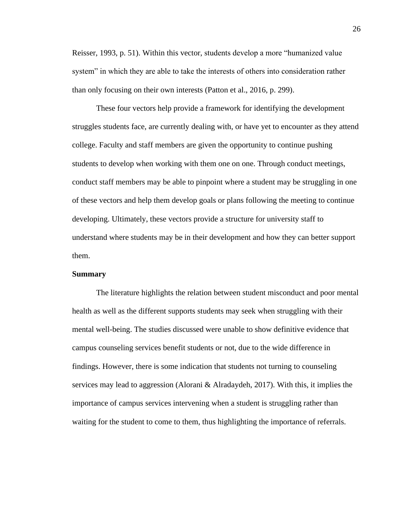Reisser, 1993, p. 51). Within this vector, students develop a more "humanized value system" in which they are able to take the interests of others into consideration rather than only focusing on their own interests (Patton et al., 2016, p. 299).

These four vectors help provide a framework for identifying the development struggles students face, are currently dealing with, or have yet to encounter as they attend college. Faculty and staff members are given the opportunity to continue pushing students to develop when working with them one on one. Through conduct meetings, conduct staff members may be able to pinpoint where a student may be struggling in one of these vectors and help them develop goals or plans following the meeting to continue developing. Ultimately, these vectors provide a structure for university staff to understand where students may be in their development and how they can better support them.

#### <span id="page-34-0"></span>**Summary**

The literature highlights the relation between student misconduct and poor mental health as well as the different supports students may seek when struggling with their mental well-being. The studies discussed were unable to show definitive evidence that campus counseling services benefit students or not, due to the wide difference in findings. However, there is some indication that students not turning to counseling services may lead to aggression (Alorani & Alradaydeh, 2017). With this, it implies the importance of campus services intervening when a student is struggling rather than waiting for the student to come to them, thus highlighting the importance of referrals.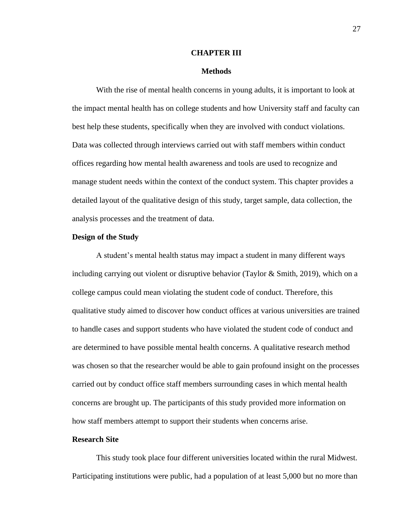#### **CHAPTER III**

#### **Methods**

<span id="page-35-1"></span><span id="page-35-0"></span>With the rise of mental health concerns in young adults, it is important to look at the impact mental health has on college students and how University staff and faculty can best help these students, specifically when they are involved with conduct violations. Data was collected through interviews carried out with staff members within conduct offices regarding how mental health awareness and tools are used to recognize and manage student needs within the context of the conduct system. This chapter provides a detailed layout of the qualitative design of this study, target sample, data collection, the analysis processes and the treatment of data.

### <span id="page-35-2"></span>**Design of the Study**

A student's mental health status may impact a student in many different ways including carrying out violent or disruptive behavior (Taylor & Smith, 2019), which on a college campus could mean violating the student code of conduct. Therefore, this qualitative study aimed to discover how conduct offices at various universities are trained to handle cases and support students who have violated the student code of conduct and are determined to have possible mental health concerns. A qualitative research method was chosen so that the researcher would be able to gain profound insight on the processes carried out by conduct office staff members surrounding cases in which mental health concerns are brought up. The participants of this study provided more information on how staff members attempt to support their students when concerns arise.

## <span id="page-35-3"></span>**Research Site**

This study took place four different universities located within the rural Midwest. Participating institutions were public, had a population of at least 5,000 but no more than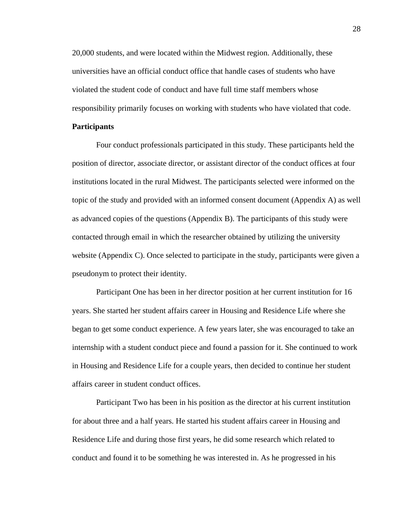20,000 students, and were located within the Midwest region. Additionally, these universities have an official conduct office that handle cases of students who have violated the student code of conduct and have full time staff members whose responsibility primarily focuses on working with students who have violated that code.

# **Participants**

Four conduct professionals participated in this study. These participants held the position of director, associate director, or assistant director of the conduct offices at four institutions located in the rural Midwest. The participants selected were informed on the topic of the study and provided with an informed consent document (Appendix A) as well as advanced copies of the questions (Appendix B). The participants of this study were contacted through email in which the researcher obtained by utilizing the university website (Appendix C). Once selected to participate in the study, participants were given a pseudonym to protect their identity.

Participant One has been in her director position at her current institution for 16 years. She started her student affairs career in Housing and Residence Life where she began to get some conduct experience. A few years later, she was encouraged to take an internship with a student conduct piece and found a passion for it. She continued to work in Housing and Residence Life for a couple years, then decided to continue her student affairs career in student conduct offices.

Participant Two has been in his position as the director at his current institution for about three and a half years. He started his student affairs career in Housing and Residence Life and during those first years, he did some research which related to conduct and found it to be something he was interested in. As he progressed in his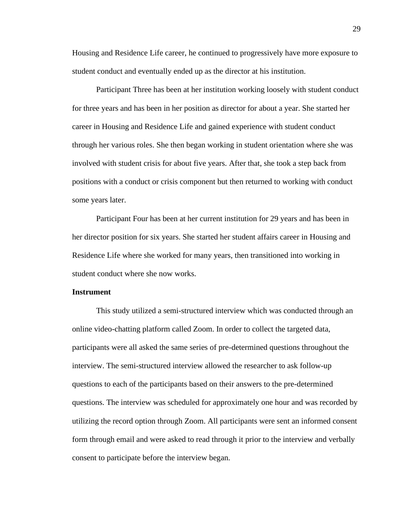Housing and Residence Life career, he continued to progressively have more exposure to student conduct and eventually ended up as the director at his institution.

Participant Three has been at her institution working loosely with student conduct for three years and has been in her position as director for about a year. She started her career in Housing and Residence Life and gained experience with student conduct through her various roles. She then began working in student orientation where she was involved with student crisis for about five years. After that, she took a step back from positions with a conduct or crisis component but then returned to working with conduct some years later.

Participant Four has been at her current institution for 29 years and has been in her director position for six years. She started her student affairs career in Housing and Residence Life where she worked for many years, then transitioned into working in student conduct where she now works.

# **Instrument**

This study utilized a semi-structured interview which was conducted through an online video-chatting platform called Zoom. In order to collect the targeted data, participants were all asked the same series of pre-determined questions throughout the interview. The semi-structured interview allowed the researcher to ask follow-up questions to each of the participants based on their answers to the pre-determined questions. The interview was scheduled for approximately one hour and was recorded by utilizing the record option through Zoom. All participants were sent an informed consent form through email and were asked to read through it prior to the interview and verbally consent to participate before the interview began.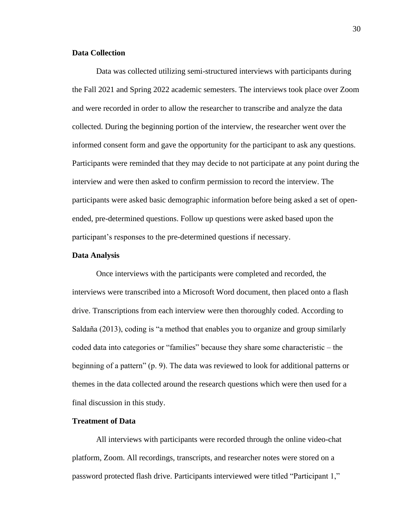# **Data Collection**

 Data was collected utilizing semi-structured interviews with participants during the Fall 2021 and Spring 2022 academic semesters. The interviews took place over Zoom and were recorded in order to allow the researcher to transcribe and analyze the data collected. During the beginning portion of the interview, the researcher went over the informed consent form and gave the opportunity for the participant to ask any questions. Participants were reminded that they may decide to not participate at any point during the interview and were then asked to confirm permission to record the interview. The participants were asked basic demographic information before being asked a set of openended, pre-determined questions. Follow up questions were asked based upon the participant's responses to the pre-determined questions if necessary.

## **Data Analysis**

Once interviews with the participants were completed and recorded, the interviews were transcribed into a Microsoft Word document, then placed onto a flash drive. Transcriptions from each interview were then thoroughly coded. According to Saldaña (2013), coding is "a method that enables you to organize and group similarly coded data into categories or "families" because they share some characteristic – the beginning of a pattern" (p. 9). The data was reviewed to look for additional patterns or themes in the data collected around the research questions which were then used for a final discussion in this study.

# **Treatment of Data**

All interviews with participants were recorded through the online video-chat platform, Zoom. All recordings, transcripts, and researcher notes were stored on a password protected flash drive. Participants interviewed were titled "Participant 1,"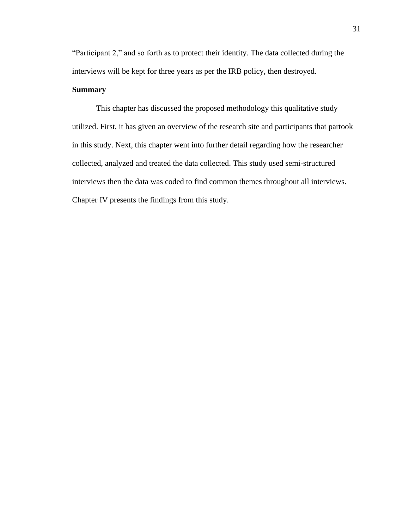"Participant 2," and so forth as to protect their identity. The data collected during the interviews will be kept for three years as per the IRB policy, then destroyed.

# **Summary**

This chapter has discussed the proposed methodology this qualitative study utilized. First, it has given an overview of the research site and participants that partook in this study. Next, this chapter went into further detail regarding how the researcher collected, analyzed and treated the data collected. This study used semi-structured interviews then the data was coded to find common themes throughout all interviews. Chapter IV presents the findings from this study.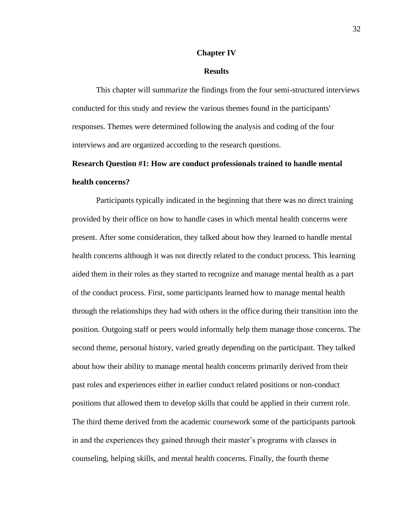### **Chapter IV**

## **Results**

This chapter will summarize the findings from the four semi-structured interviews conducted for this study and review the various themes found in the participants' responses. Themes were determined following the analysis and coding of the four interviews and are organized according to the research questions.

# **Research Question #1: How are conduct professionals trained to handle mental health concerns?**

Participants typically indicated in the beginning that there was no direct training provided by their office on how to handle cases in which mental health concerns were present. After some consideration, they talked about how they learned to handle mental health concerns although it was not directly related to the conduct process. This learning aided them in their roles as they started to recognize and manage mental health as a part of the conduct process. First, some participants learned how to manage mental health through the relationships they had with others in the office during their transition into the position. Outgoing staff or peers would informally help them manage those concerns. The second theme, personal history, varied greatly depending on the participant. They talked about how their ability to manage mental health concerns primarily derived from their past roles and experiences either in earlier conduct related positions or non-conduct positions that allowed them to develop skills that could be applied in their current role. The third theme derived from the academic coursework some of the participants partook in and the experiences they gained through their master's programs with classes in counseling, helping skills, and mental health concerns. Finally, the fourth theme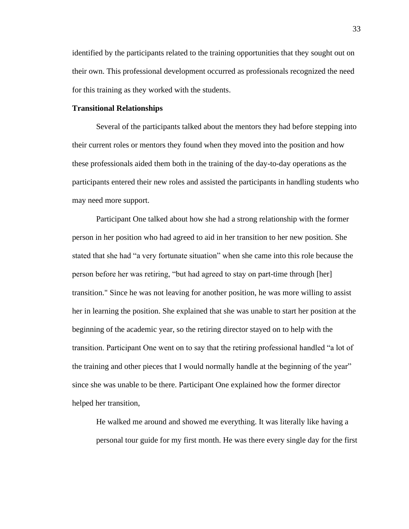identified by the participants related to the training opportunities that they sought out on their own. This professional development occurred as professionals recognized the need for this training as they worked with the students.

### **Transitional Relationships**

Several of the participants talked about the mentors they had before stepping into their current roles or mentors they found when they moved into the position and how these professionals aided them both in the training of the day-to-day operations as the participants entered their new roles and assisted the participants in handling students who may need more support.

Participant One talked about how she had a strong relationship with the former person in her position who had agreed to aid in her transition to her new position. She stated that she had "a very fortunate situation" when she came into this role because the person before her was retiring, "but had agreed to stay on part-time through [her] transition." Since he was not leaving for another position, he was more willing to assist her in learning the position. She explained that she was unable to start her position at the beginning of the academic year, so the retiring director stayed on to help with the transition. Participant One went on to say that the retiring professional handled "a lot of the training and other pieces that I would normally handle at the beginning of the year" since she was unable to be there. Participant One explained how the former director helped her transition,

He walked me around and showed me everything. It was literally like having a personal tour guide for my first month. He was there every single day for the first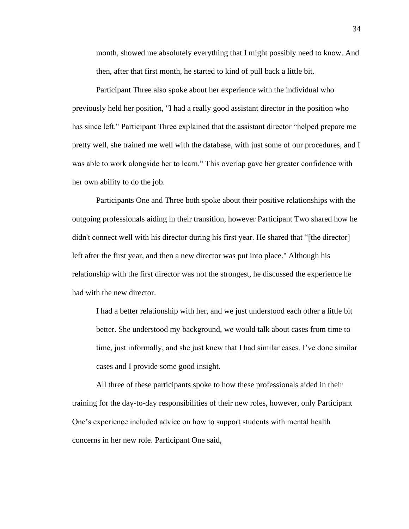month, showed me absolutely everything that I might possibly need to know. And then, after that first month, he started to kind of pull back a little bit.

Participant Three also spoke about her experience with the individual who previously held her position, "I had a really good assistant director in the position who has since left." Participant Three explained that the assistant director "helped prepare me pretty well, she trained me well with the database, with just some of our procedures, and I was able to work alongside her to learn." This overlap gave her greater confidence with her own ability to do the job.

Participants One and Three both spoke about their positive relationships with the outgoing professionals aiding in their transition, however Participant Two shared how he didn't connect well with his director during his first year. He shared that "[the director] left after the first year, and then a new director was put into place." Although his relationship with the first director was not the strongest, he discussed the experience he had with the new director.

I had a better relationship with her, and we just understood each other a little bit better. She understood my background, we would talk about cases from time to time, just informally, and she just knew that I had similar cases. I've done similar cases and I provide some good insight.

All three of these participants spoke to how these professionals aided in their training for the day-to-day responsibilities of their new roles, however, only Participant One's experience included advice on how to support students with mental health concerns in her new role. Participant One said,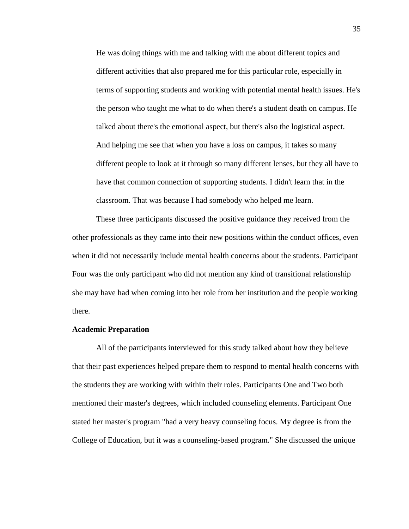He was doing things with me and talking with me about different topics and different activities that also prepared me for this particular role, especially in terms of supporting students and working with potential mental health issues. He's the person who taught me what to do when there's a student death on campus. He talked about there's the emotional aspect, but there's also the logistical aspect. And helping me see that when you have a loss on campus, it takes so many different people to look at it through so many different lenses, but they all have to have that common connection of supporting students. I didn't learn that in the classroom. That was because I had somebody who helped me learn.

These three participants discussed the positive guidance they received from the other professionals as they came into their new positions within the conduct offices, even when it did not necessarily include mental health concerns about the students. Participant Four was the only participant who did not mention any kind of transitional relationship she may have had when coming into her role from her institution and the people working there.

### **Academic Preparation**

All of the participants interviewed for this study talked about how they believe that their past experiences helped prepare them to respond to mental health concerns with the students they are working with within their roles. Participants One and Two both mentioned their master's degrees, which included counseling elements. Participant One stated her master's program "had a very heavy counseling focus. My degree is from the College of Education, but it was a counseling-based program." She discussed the unique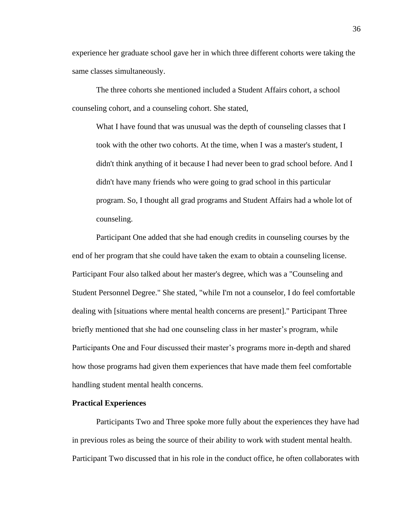experience her graduate school gave her in which three different cohorts were taking the same classes simultaneously.

The three cohorts she mentioned included a Student Affairs cohort, a school counseling cohort, and a counseling cohort. She stated,

What I have found that was unusual was the depth of counseling classes that I took with the other two cohorts. At the time, when I was a master's student, I didn't think anything of it because I had never been to grad school before. And I didn't have many friends who were going to grad school in this particular program. So, I thought all grad programs and Student Affairs had a whole lot of counseling.

Participant One added that she had enough credits in counseling courses by the end of her program that she could have taken the exam to obtain a counseling license. Participant Four also talked about her master's degree, which was a "Counseling and Student Personnel Degree." She stated, "while I'm not a counselor, I do feel comfortable dealing with [situations where mental health concerns are present]." Participant Three briefly mentioned that she had one counseling class in her master's program, while Participants One and Four discussed their master's programs more in-depth and shared how those programs had given them experiences that have made them feel comfortable handling student mental health concerns.

## **Practical Experiences**

Participants Two and Three spoke more fully about the experiences they have had in previous roles as being the source of their ability to work with student mental health. Participant Two discussed that in his role in the conduct office, he often collaborates with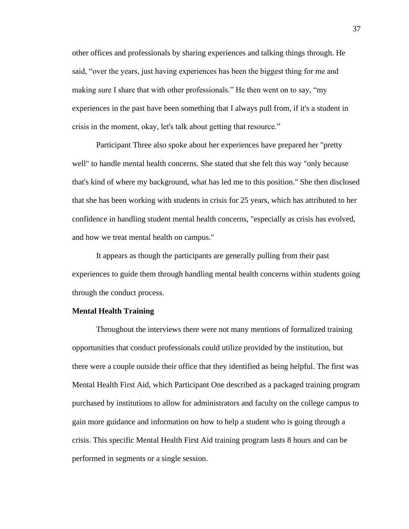other offices and professionals by sharing experiences and talking things through. He said, "over the years, just having experiences has been the biggest thing for me and making sure I share that with other professionals." He then went on to say, "my experiences in the past have been something that I always pull from, if it's a student in crisis in the moment, okay, let's talk about getting that resource."

Participant Three also spoke about her experiences have prepared her "pretty well" to handle mental health concerns. She stated that she felt this way "only because that's kind of where my background, what has led me to this position." She then disclosed that she has been working with students in crisis for 25 years, which has attributed to her confidence in handling student mental health concerns, "especially as crisis has evolved, and how we treat mental health on campus."

It appears as though the participants are generally pulling from their past experiences to guide them through handling mental health concerns within students going through the conduct process.

## **Mental Health Training**

Throughout the interviews there were not many mentions of formalized training opportunities that conduct professionals could utilize provided by the institution, but there were a couple outside their office that they identified as being helpful. The first was Mental Health First Aid, which Participant One described as a packaged training program purchased by institutions to allow for administrators and faculty on the college campus to gain more guidance and information on how to help a student who is going through a crisis. This specific Mental Health First Aid training program lasts 8 hours and can be performed in segments or a single session.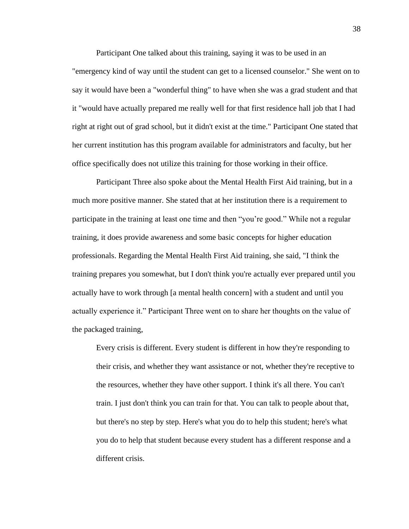Participant One talked about this training, saying it was to be used in an "emergency kind of way until the student can get to a licensed counselor." She went on to say it would have been a "wonderful thing" to have when she was a grad student and that it "would have actually prepared me really well for that first residence hall job that I had right at right out of grad school, but it didn't exist at the time." Participant One stated that her current institution has this program available for administrators and faculty, but her office specifically does not utilize this training for those working in their office.

Participant Three also spoke about the Mental Health First Aid training, but in a much more positive manner. She stated that at her institution there is a requirement to participate in the training at least one time and then "you're good." While not a regular training, it does provide awareness and some basic concepts for higher education professionals. Regarding the Mental Health First Aid training, she said, "I think the training prepares you somewhat, but I don't think you're actually ever prepared until you actually have to work through [a mental health concern] with a student and until you actually experience it." Participant Three went on to share her thoughts on the value of the packaged training,

Every crisis is different. Every student is different in how they're responding to their crisis, and whether they want assistance or not, whether they're receptive to the resources, whether they have other support. I think it's all there. You can't train. I just don't think you can train for that. You can talk to people about that, but there's no step by step. Here's what you do to help this student; here's what you do to help that student because every student has a different response and a different crisis.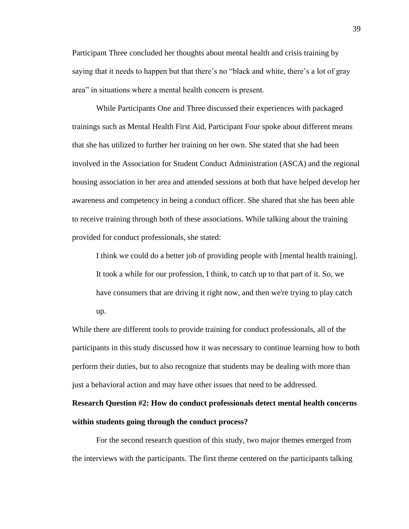Participant Three concluded her thoughts about mental health and crisis training by saying that it needs to happen but that there's no "black and white, there's a lot of gray area" in situations where a mental health concern is present.

While Participants One and Three discussed their experiences with packaged trainings such as Mental Health First Aid, Participant Four spoke about different means that she has utilized to further her training on her own. She stated that she had been involved in the Association for Student Conduct Administration (ASCA) and the regional housing association in her area and attended sessions at both that have helped develop her awareness and competency in being a conduct officer. She shared that she has been able to receive training through both of these associations. While talking about the training provided for conduct professionals, she stated:

I think we could do a better job of providing people with [mental health training]. It took a while for our profession, I think, to catch up to that part of it. So, we have consumers that are driving it right now, and then we're trying to play catch up.

While there are different tools to provide training for conduct professionals, all of the participants in this study discussed how it was necessary to continue learning how to both perform their duties, but to also recognize that students may be dealing with more than just a behavioral action and may have other issues that need to be addressed.

# **Research Question #2: How do conduct professionals detect mental health concerns within students going through the conduct process?**

For the second research question of this study, two major themes emerged from the interviews with the participants. The first theme centered on the participants talking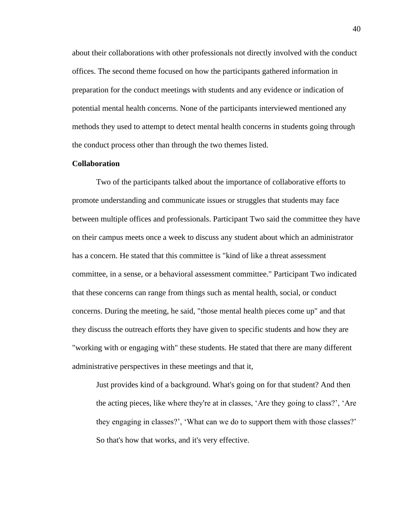about their collaborations with other professionals not directly involved with the conduct offices. The second theme focused on how the participants gathered information in preparation for the conduct meetings with students and any evidence or indication of potential mental health concerns. None of the participants interviewed mentioned any methods they used to attempt to detect mental health concerns in students going through the conduct process other than through the two themes listed.

# **Collaboration**

Two of the participants talked about the importance of collaborative efforts to promote understanding and communicate issues or struggles that students may face between multiple offices and professionals. Participant Two said the committee they have on their campus meets once a week to discuss any student about which an administrator has a concern. He stated that this committee is "kind of like a threat assessment committee, in a sense, or a behavioral assessment committee." Participant Two indicated that these concerns can range from things such as mental health, social, or conduct concerns. During the meeting, he said, "those mental health pieces come up" and that they discuss the outreach efforts they have given to specific students and how they are "working with or engaging with" these students. He stated that there are many different administrative perspectives in these meetings and that it,

Just provides kind of a background. What's going on for that student? And then the acting pieces, like where they're at in classes, 'Are they going to class?', 'Are they engaging in classes?', 'What can we do to support them with those classes?' So that's how that works, and it's very effective.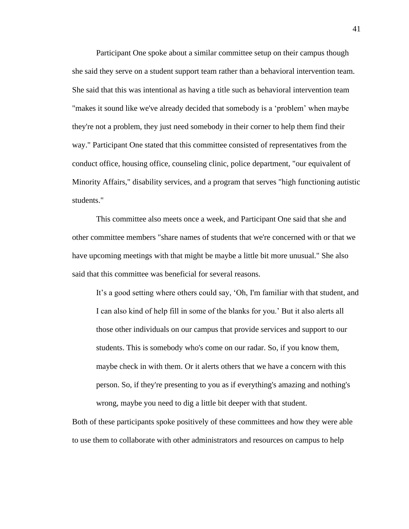Participant One spoke about a similar committee setup on their campus though she said they serve on a student support team rather than a behavioral intervention team. She said that this was intentional as having a title such as behavioral intervention team "makes it sound like we've already decided that somebody is a 'problem' when maybe they're not a problem, they just need somebody in their corner to help them find their way." Participant One stated that this committee consisted of representatives from the conduct office, housing office, counseling clinic, police department, "our equivalent of Minority Affairs," disability services, and a program that serves "high functioning autistic students."

This committee also meets once a week, and Participant One said that she and other committee members "share names of students that we're concerned with or that we have upcoming meetings with that might be maybe a little bit more unusual." She also said that this committee was beneficial for several reasons.

It's a good setting where others could say, 'Oh, I'm familiar with that student, and I can also kind of help fill in some of the blanks for you.' But it also alerts all those other individuals on our campus that provide services and support to our students. This is somebody who's come on our radar. So, if you know them, maybe check in with them. Or it alerts others that we have a concern with this person. So, if they're presenting to you as if everything's amazing and nothing's wrong, maybe you need to dig a little bit deeper with that student.

Both of these participants spoke positively of these committees and how they were able to use them to collaborate with other administrators and resources on campus to help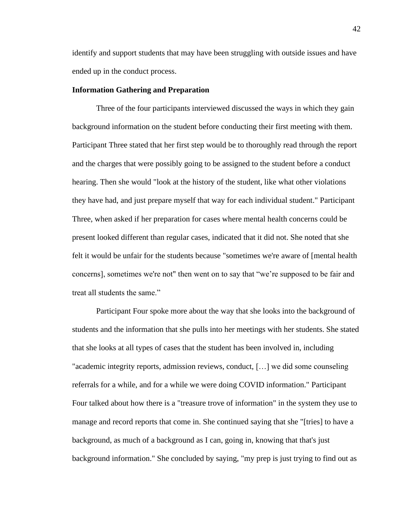identify and support students that may have been struggling with outside issues and have ended up in the conduct process.

## **Information Gathering and Preparation**

Three of the four participants interviewed discussed the ways in which they gain background information on the student before conducting their first meeting with them. Participant Three stated that her first step would be to thoroughly read through the report and the charges that were possibly going to be assigned to the student before a conduct hearing. Then she would "look at the history of the student, like what other violations they have had, and just prepare myself that way for each individual student." Participant Three, when asked if her preparation for cases where mental health concerns could be present looked different than regular cases, indicated that it did not. She noted that she felt it would be unfair for the students because "sometimes we're aware of [mental health concerns], sometimes we're not" then went on to say that "we're supposed to be fair and treat all students the same."

Participant Four spoke more about the way that she looks into the background of students and the information that she pulls into her meetings with her students. She stated that she looks at all types of cases that the student has been involved in, including "academic integrity reports, admission reviews, conduct, […] we did some counseling referrals for a while, and for a while we were doing COVID information." Participant Four talked about how there is a "treasure trove of information" in the system they use to manage and record reports that come in. She continued saying that she "[tries] to have a background, as much of a background as I can, going in, knowing that that's just background information." She concluded by saying, "my prep is just trying to find out as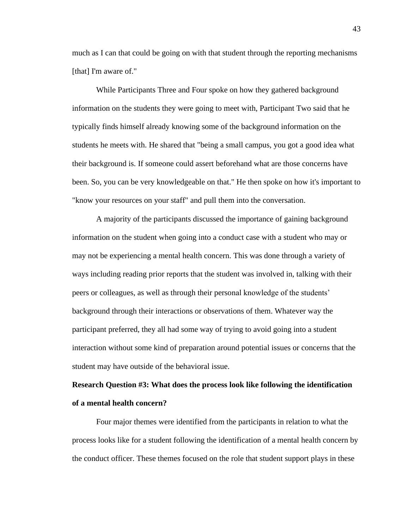much as I can that could be going on with that student through the reporting mechanisms [that] I'm aware of."

While Participants Three and Four spoke on how they gathered background information on the students they were going to meet with, Participant Two said that he typically finds himself already knowing some of the background information on the students he meets with. He shared that "being a small campus, you got a good idea what their background is. If someone could assert beforehand what are those concerns have been. So, you can be very knowledgeable on that." He then spoke on how it's important to "know your resources on your staff" and pull them into the conversation.

A majority of the participants discussed the importance of gaining background information on the student when going into a conduct case with a student who may or may not be experiencing a mental health concern. This was done through a variety of ways including reading prior reports that the student was involved in, talking with their peers or colleagues, as well as through their personal knowledge of the students' background through their interactions or observations of them. Whatever way the participant preferred, they all had some way of trying to avoid going into a student interaction without some kind of preparation around potential issues or concerns that the student may have outside of the behavioral issue.

# **Research Question #3: What does the process look like following the identification of a mental health concern?**

Four major themes were identified from the participants in relation to what the process looks like for a student following the identification of a mental health concern by the conduct officer. These themes focused on the role that student support plays in these

43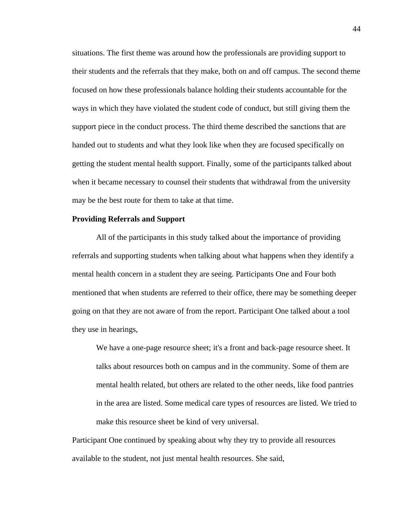situations. The first theme was around how the professionals are providing support to their students and the referrals that they make, both on and off campus. The second theme focused on how these professionals balance holding their students accountable for the ways in which they have violated the student code of conduct, but still giving them the support piece in the conduct process. The third theme described the sanctions that are handed out to students and what they look like when they are focused specifically on getting the student mental health support. Finally, some of the participants talked about when it became necessary to counsel their students that withdrawal from the university may be the best route for them to take at that time.

### **Providing Referrals and Support**

All of the participants in this study talked about the importance of providing referrals and supporting students when talking about what happens when they identify a mental health concern in a student they are seeing. Participants One and Four both mentioned that when students are referred to their office, there may be something deeper going on that they are not aware of from the report. Participant One talked about a tool they use in hearings,

We have a one-page resource sheet; it's a front and back-page resource sheet. It talks about resources both on campus and in the community. Some of them are mental health related, but others are related to the other needs, like food pantries in the area are listed. Some medical care types of resources are listed. We tried to make this resource sheet be kind of very universal.

Participant One continued by speaking about why they try to provide all resources available to the student, not just mental health resources. She said,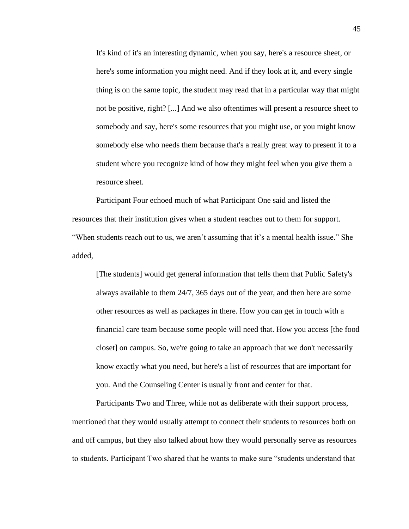It's kind of it's an interesting dynamic, when you say, here's a resource sheet, or here's some information you might need. And if they look at it, and every single thing is on the same topic, the student may read that in a particular way that might not be positive, right? [...] And we also oftentimes will present a resource sheet to somebody and say, here's some resources that you might use, or you might know somebody else who needs them because that's a really great way to present it to a student where you recognize kind of how they might feel when you give them a resource sheet.

Participant Four echoed much of what Participant One said and listed the resources that their institution gives when a student reaches out to them for support. "When students reach out to us, we aren't assuming that it's a mental health issue." She added,

[The students] would get general information that tells them that Public Safety's always available to them 24/7, 365 days out of the year, and then here are some other resources as well as packages in there. How you can get in touch with a financial care team because some people will need that. How you access [the food closet] on campus. So, we're going to take an approach that we don't necessarily know exactly what you need, but here's a list of resources that are important for you. And the Counseling Center is usually front and center for that.

Participants Two and Three, while not as deliberate with their support process, mentioned that they would usually attempt to connect their students to resources both on and off campus, but they also talked about how they would personally serve as resources to students. Participant Two shared that he wants to make sure "students understand that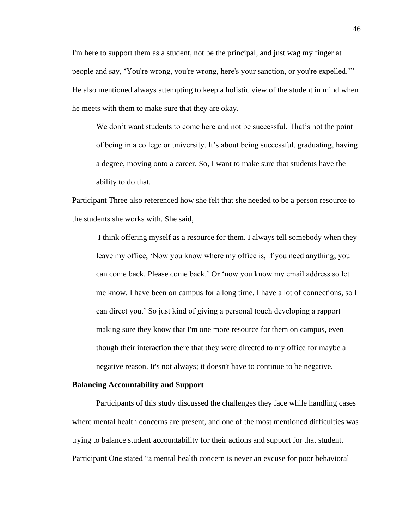I'm here to support them as a student, not be the principal, and just wag my finger at people and say, 'You're wrong, you're wrong, here's your sanction, or you're expelled.'" He also mentioned always attempting to keep a holistic view of the student in mind when he meets with them to make sure that they are okay.

We don't want students to come here and not be successful. That's not the point of being in a college or university. It's about being successful, graduating, having a degree, moving onto a career. So, I want to make sure that students have the ability to do that.

Participant Three also referenced how she felt that she needed to be a person resource to the students she works with. She said,

I think offering myself as a resource for them. I always tell somebody when they leave my office, 'Now you know where my office is, if you need anything, you can come back. Please come back.' Or 'now you know my email address so let me know. I have been on campus for a long time. I have a lot of connections, so I can direct you.' So just kind of giving a personal touch developing a rapport making sure they know that I'm one more resource for them on campus, even though their interaction there that they were directed to my office for maybe a negative reason. It's not always; it doesn't have to continue to be negative.

### **Balancing Accountability and Support**

Participants of this study discussed the challenges they face while handling cases where mental health concerns are present, and one of the most mentioned difficulties was trying to balance student accountability for their actions and support for that student. Participant One stated "a mental health concern is never an excuse for poor behavioral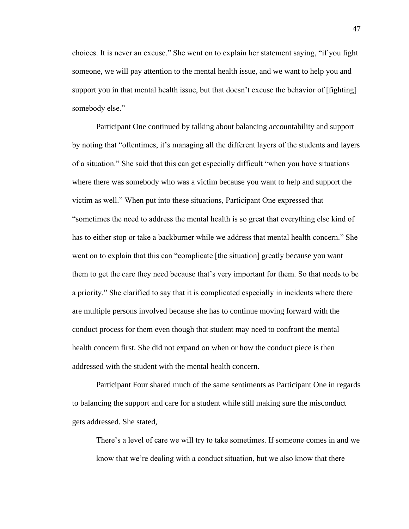choices. It is never an excuse." She went on to explain her statement saying, "if you fight someone, we will pay attention to the mental health issue, and we want to help you and support you in that mental health issue, but that doesn't excuse the behavior of [fighting] somebody else."

Participant One continued by talking about balancing accountability and support by noting that "oftentimes, it's managing all the different layers of the students and layers of a situation." She said that this can get especially difficult "when you have situations where there was somebody who was a victim because you want to help and support the victim as well." When put into these situations, Participant One expressed that "sometimes the need to address the mental health is so great that everything else kind of has to either stop or take a backburner while we address that mental health concern." She went on to explain that this can "complicate [the situation] greatly because you want them to get the care they need because that's very important for them. So that needs to be a priority." She clarified to say that it is complicated especially in incidents where there are multiple persons involved because she has to continue moving forward with the conduct process for them even though that student may need to confront the mental health concern first. She did not expand on when or how the conduct piece is then addressed with the student with the mental health concern.

Participant Four shared much of the same sentiments as Participant One in regards to balancing the support and care for a student while still making sure the misconduct gets addressed. She stated,

There's a level of care we will try to take sometimes. If someone comes in and we know that we're dealing with a conduct situation, but we also know that there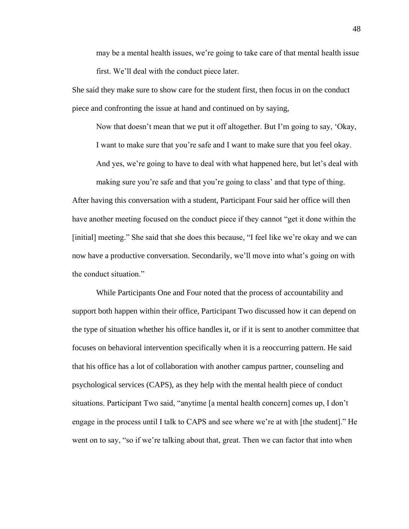may be a mental health issues, we're going to take care of that mental health issue first. We'll deal with the conduct piece later.

She said they make sure to show care for the student first, then focus in on the conduct piece and confronting the issue at hand and continued on by saying,

Now that doesn't mean that we put it off altogether. But I'm going to say, 'Okay,

I want to make sure that you're safe and I want to make sure that you feel okay.

And yes, we're going to have to deal with what happened here, but let's deal with

making sure you're safe and that you're going to class' and that type of thing.

After having this conversation with a student, Participant Four said her office will then have another meeting focused on the conduct piece if they cannot "get it done within the [initial] meeting." She said that she does this because, "I feel like we're okay and we can now have a productive conversation. Secondarily, we'll move into what's going on with the conduct situation."

While Participants One and Four noted that the process of accountability and support both happen within their office, Participant Two discussed how it can depend on the type of situation whether his office handles it, or if it is sent to another committee that focuses on behavioral intervention specifically when it is a reoccurring pattern. He said that his office has a lot of collaboration with another campus partner, counseling and psychological services (CAPS), as they help with the mental health piece of conduct situations. Participant Two said, "anytime [a mental health concern] comes up, I don't engage in the process until I talk to CAPS and see where we're at with [the student]." He went on to say, "so if we're talking about that, great. Then we can factor that into when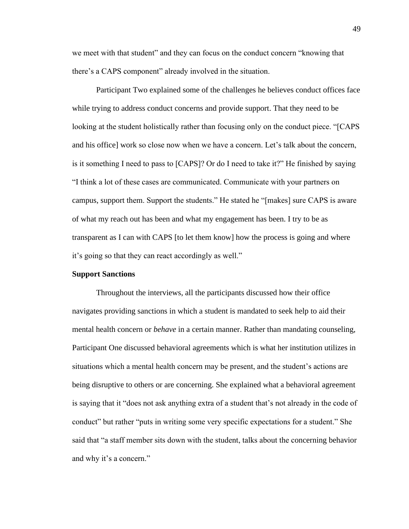we meet with that student" and they can focus on the conduct concern "knowing that there's a CAPS component" already involved in the situation.

Participant Two explained some of the challenges he believes conduct offices face while trying to address conduct concerns and provide support. That they need to be looking at the student holistically rather than focusing only on the conduct piece. "[CAPS and his office] work so close now when we have a concern. Let's talk about the concern, is it something I need to pass to [CAPS]? Or do I need to take it?" He finished by saying "I think a lot of these cases are communicated. Communicate with your partners on campus, support them. Support the students." He stated he "[makes] sure CAPS is aware of what my reach out has been and what my engagement has been. I try to be as transparent as I can with CAPS [to let them know] how the process is going and where it's going so that they can react accordingly as well."

### **Support Sanctions**

Throughout the interviews, all the participants discussed how their office navigates providing sanctions in which a student is mandated to seek help to aid their mental health concern or *behave* in a certain manner. Rather than mandating counseling, Participant One discussed behavioral agreements which is what her institution utilizes in situations which a mental health concern may be present, and the student's actions are being disruptive to others or are concerning. She explained what a behavioral agreement is saying that it "does not ask anything extra of a student that's not already in the code of conduct" but rather "puts in writing some very specific expectations for a student." She said that "a staff member sits down with the student, talks about the concerning behavior and why it's a concern."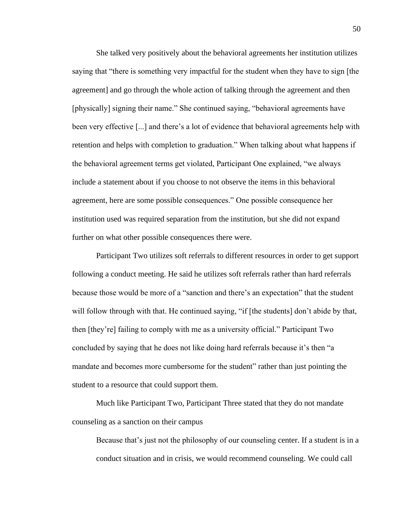She talked very positively about the behavioral agreements her institution utilizes saying that "there is something very impactful for the student when they have to sign [the agreement] and go through the whole action of talking through the agreement and then [physically] signing their name." She continued saying, "behavioral agreements have been very effective [...] and there's a lot of evidence that behavioral agreements help with retention and helps with completion to graduation." When talking about what happens if the behavioral agreement terms get violated, Participant One explained, "we always include a statement about if you choose to not observe the items in this behavioral agreement, here are some possible consequences." One possible consequence her institution used was required separation from the institution, but she did not expand further on what other possible consequences there were.

Participant Two utilizes soft referrals to different resources in order to get support following a conduct meeting. He said he utilizes soft referrals rather than hard referrals because those would be more of a "sanction and there's an expectation" that the student will follow through with that. He continued saying, "if [the students] don't abide by that, then [they're] failing to comply with me as a university official." Participant Two concluded by saying that he does not like doing hard referrals because it's then "a mandate and becomes more cumbersome for the student" rather than just pointing the student to a resource that could support them.

Much like Participant Two, Participant Three stated that they do not mandate counseling as a sanction on their campus

Because that's just not the philosophy of our counseling center. If a student is in a conduct situation and in crisis, we would recommend counseling. We could call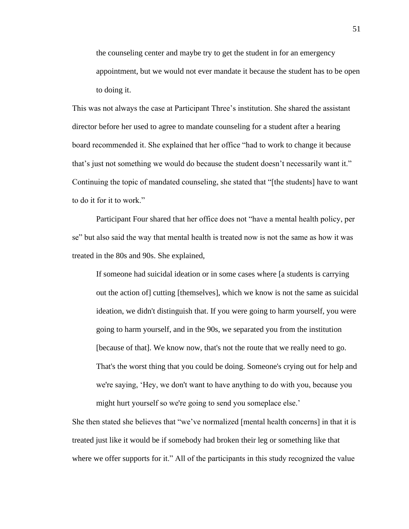the counseling center and maybe try to get the student in for an emergency appointment, but we would not ever mandate it because the student has to be open to doing it.

This was not always the case at Participant Three's institution. She shared the assistant director before her used to agree to mandate counseling for a student after a hearing board recommended it. She explained that her office "had to work to change it because that's just not something we would do because the student doesn't necessarily want it." Continuing the topic of mandated counseling, she stated that "[the students] have to want to do it for it to work."

Participant Four shared that her office does not "have a mental health policy, per se" but also said the way that mental health is treated now is not the same as how it was treated in the 80s and 90s. She explained,

If someone had suicidal ideation or in some cases where [a students is carrying out the action of] cutting [themselves], which we know is not the same as suicidal ideation, we didn't distinguish that. If you were going to harm yourself, you were going to harm yourself, and in the 90s, we separated you from the institution [because of that]. We know now, that's not the route that we really need to go. That's the worst thing that you could be doing. Someone's crying out for help and we're saying, 'Hey, we don't want to have anything to do with you, because you might hurt yourself so we're going to send you someplace else.'

She then stated she believes that "we've normalized [mental health concerns] in that it is treated just like it would be if somebody had broken their leg or something like that where we offer supports for it." All of the participants in this study recognized the value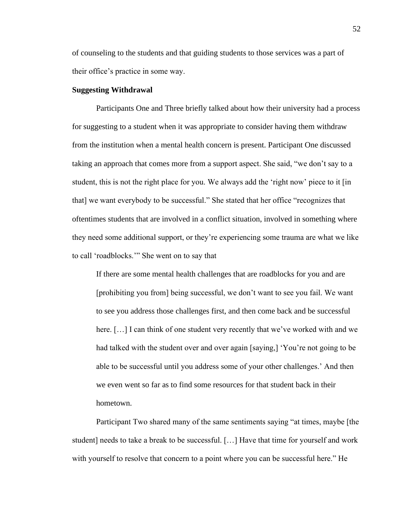of counseling to the students and that guiding students to those services was a part of their office's practice in some way.

## **Suggesting Withdrawal**

Participants One and Three briefly talked about how their university had a process for suggesting to a student when it was appropriate to consider having them withdraw from the institution when a mental health concern is present. Participant One discussed taking an approach that comes more from a support aspect. She said, "we don't say to a student, this is not the right place for you. We always add the 'right now' piece to it [in that] we want everybody to be successful." She stated that her office "recognizes that oftentimes students that are involved in a conflict situation, involved in something where they need some additional support, or they're experiencing some trauma are what we like to call 'roadblocks.'" She went on to say that

If there are some mental health challenges that are roadblocks for you and are [prohibiting you from] being successful, we don't want to see you fail. We want to see you address those challenges first, and then come back and be successful here. [...] I can think of one student very recently that we've worked with and we had talked with the student over and over again [saying,] 'You're not going to be able to be successful until you address some of your other challenges.' And then we even went so far as to find some resources for that student back in their hometown.

Participant Two shared many of the same sentiments saying "at times, maybe [the student] needs to take a break to be successful. […] Have that time for yourself and work with yourself to resolve that concern to a point where you can be successful here." He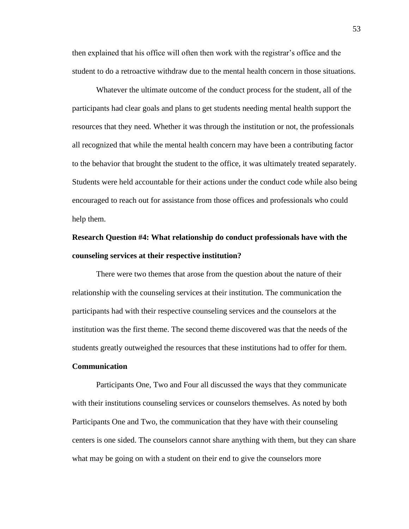then explained that his office will often then work with the registrar's office and the student to do a retroactive withdraw due to the mental health concern in those situations.

Whatever the ultimate outcome of the conduct process for the student, all of the participants had clear goals and plans to get students needing mental health support the resources that they need. Whether it was through the institution or not, the professionals all recognized that while the mental health concern may have been a contributing factor to the behavior that brought the student to the office, it was ultimately treated separately. Students were held accountable for their actions under the conduct code while also being encouraged to reach out for assistance from those offices and professionals who could help them.

# **Research Question #4: What relationship do conduct professionals have with the counseling services at their respective institution?**

There were two themes that arose from the question about the nature of their relationship with the counseling services at their institution. The communication the participants had with their respective counseling services and the counselors at the institution was the first theme. The second theme discovered was that the needs of the students greatly outweighed the resources that these institutions had to offer for them.

# **Communication**

Participants One, Two and Four all discussed the ways that they communicate with their institutions counseling services or counselors themselves. As noted by both Participants One and Two, the communication that they have with their counseling centers is one sided. The counselors cannot share anything with them, but they can share what may be going on with a student on their end to give the counselors more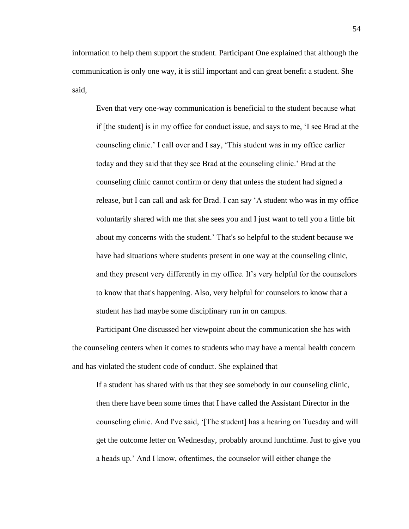information to help them support the student. Participant One explained that although the communication is only one way, it is still important and can great benefit a student. She said,

Even that very one-way communication is beneficial to the student because what if [the student] is in my office for conduct issue, and says to me, 'I see Brad at the counseling clinic.' I call over and I say, 'This student was in my office earlier today and they said that they see Brad at the counseling clinic.' Brad at the counseling clinic cannot confirm or deny that unless the student had signed a release, but I can call and ask for Brad. I can say 'A student who was in my office voluntarily shared with me that she sees you and I just want to tell you a little bit about my concerns with the student.' That's so helpful to the student because we have had situations where students present in one way at the counseling clinic, and they present very differently in my office. It's very helpful for the counselors to know that that's happening. Also, very helpful for counselors to know that a student has had maybe some disciplinary run in on campus.

Participant One discussed her viewpoint about the communication she has with the counseling centers when it comes to students who may have a mental health concern and has violated the student code of conduct. She explained that

If a student has shared with us that they see somebody in our counseling clinic, then there have been some times that I have called the Assistant Director in the counseling clinic. And I've said, '[The student] has a hearing on Tuesday and will get the outcome letter on Wednesday, probably around lunchtime. Just to give you a heads up.' And I know, oftentimes, the counselor will either change the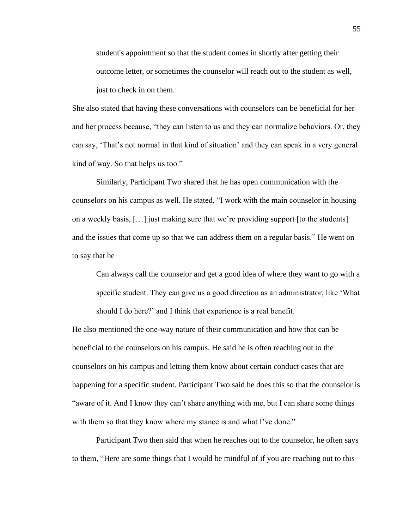student's appointment so that the student comes in shortly after getting their outcome letter, or sometimes the counselor will reach out to the student as well, just to check in on them.

She also stated that having these conversations with counselors can be beneficial for her and her process because, "they can listen to us and they can normalize behaviors. Or, they can say, 'That's not normal in that kind of situation' and they can speak in a very general kind of way. So that helps us too."

Similarly, Participant Two shared that he has open communication with the counselors on his campus as well. He stated, "I work with the main counselor in housing on a weekly basis, […] just making sure that we're providing support [to the students] and the issues that come up so that we can address them on a regular basis." He went on to say that he

Can always call the counselor and get a good idea of where they want to go with a specific student. They can give us a good direction as an administrator, like 'What should I do here?' and I think that experience is a real benefit.

He also mentioned the one-way nature of their communication and how that can be beneficial to the counselors on his campus. He said he is often reaching out to the counselors on his campus and letting them know about certain conduct cases that are happening for a specific student. Participant Two said he does this so that the counselor is "aware of it. And I know they can't share anything with me, but I can share some things with them so that they know where my stance is and what I've done."

Participant Two then said that when he reaches out to the counselor, he often says to them, "Here are some things that I would be mindful of if you are reaching out to this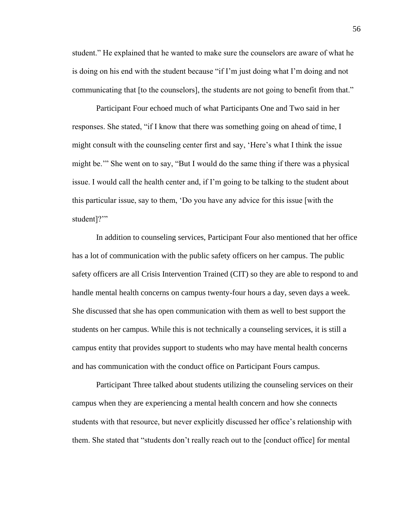student." He explained that he wanted to make sure the counselors are aware of what he is doing on his end with the student because "if I'm just doing what I'm doing and not communicating that [to the counselors], the students are not going to benefit from that."

Participant Four echoed much of what Participants One and Two said in her responses. She stated, "if I know that there was something going on ahead of time, I might consult with the counseling center first and say, 'Here's what I think the issue might be.'" She went on to say, "But I would do the same thing if there was a physical issue. I would call the health center and, if I'm going to be talking to the student about this particular issue, say to them, 'Do you have any advice for this issue [with the student]?"

In addition to counseling services, Participant Four also mentioned that her office has a lot of communication with the public safety officers on her campus. The public safety officers are all Crisis Intervention Trained (CIT) so they are able to respond to and handle mental health concerns on campus twenty-four hours a day, seven days a week. She discussed that she has open communication with them as well to best support the students on her campus. While this is not technically a counseling services, it is still a campus entity that provides support to students who may have mental health concerns and has communication with the conduct office on Participant Fours campus.

Participant Three talked about students utilizing the counseling services on their campus when they are experiencing a mental health concern and how she connects students with that resource, but never explicitly discussed her office's relationship with them. She stated that "students don't really reach out to the [conduct office] for mental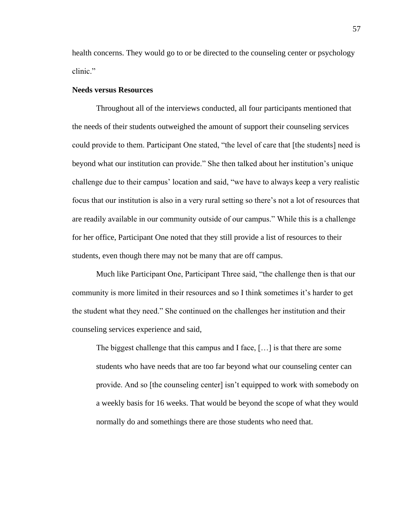health concerns. They would go to or be directed to the counseling center or psychology clinic."

# **Needs versus Resources**

Throughout all of the interviews conducted, all four participants mentioned that the needs of their students outweighed the amount of support their counseling services could provide to them. Participant One stated, "the level of care that [the students] need is beyond what our institution can provide." She then talked about her institution's unique challenge due to their campus' location and said, "we have to always keep a very realistic focus that our institution is also in a very rural setting so there's not a lot of resources that are readily available in our community outside of our campus." While this is a challenge for her office, Participant One noted that they still provide a list of resources to their students, even though there may not be many that are off campus.

Much like Participant One, Participant Three said, "the challenge then is that our community is more limited in their resources and so I think sometimes it's harder to get the student what they need." She continued on the challenges her institution and their counseling services experience and said,

The biggest challenge that this campus and I face, […] is that there are some students who have needs that are too far beyond what our counseling center can provide. And so [the counseling center] isn't equipped to work with somebody on a weekly basis for 16 weeks. That would be beyond the scope of what they would normally do and somethings there are those students who need that.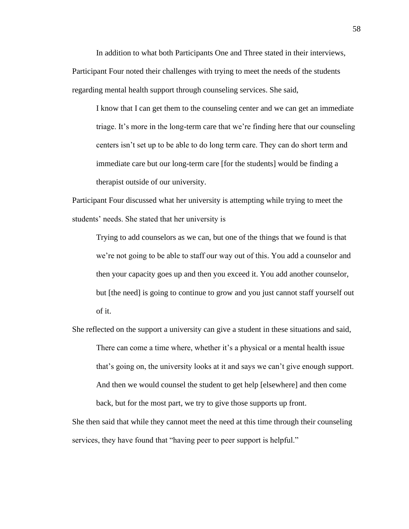In addition to what both Participants One and Three stated in their interviews, Participant Four noted their challenges with trying to meet the needs of the students regarding mental health support through counseling services. She said,

I know that I can get them to the counseling center and we can get an immediate triage. It's more in the long-term care that we're finding here that our counseling centers isn't set up to be able to do long term care. They can do short term and immediate care but our long-term care [for the students] would be finding a therapist outside of our university.

Participant Four discussed what her university is attempting while trying to meet the students' needs. She stated that her university is

Trying to add counselors as we can, but one of the things that we found is that we're not going to be able to staff our way out of this. You add a counselor and then your capacity goes up and then you exceed it. You add another counselor, but [the need] is going to continue to grow and you just cannot staff yourself out of it.

She reflected on the support a university can give a student in these situations and said, There can come a time where, whether it's a physical or a mental health issue that's going on, the university looks at it and says we can't give enough support. And then we would counsel the student to get help [elsewhere] and then come back, but for the most part, we try to give those supports up front.

She then said that while they cannot meet the need at this time through their counseling services, they have found that "having peer to peer support is helpful."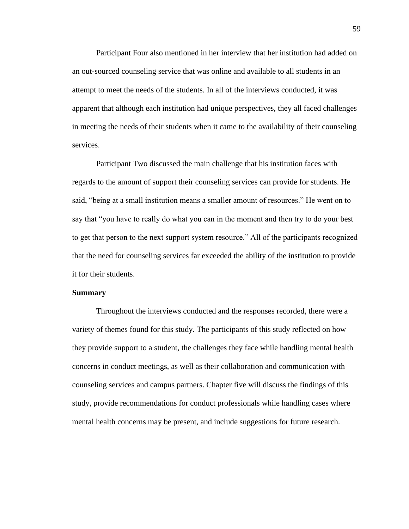Participant Four also mentioned in her interview that her institution had added on an out-sourced counseling service that was online and available to all students in an attempt to meet the needs of the students. In all of the interviews conducted, it was apparent that although each institution had unique perspectives, they all faced challenges in meeting the needs of their students when it came to the availability of their counseling services.

Participant Two discussed the main challenge that his institution faces with regards to the amount of support their counseling services can provide for students. He said, "being at a small institution means a smaller amount of resources." He went on to say that "you have to really do what you can in the moment and then try to do your best to get that person to the next support system resource." All of the participants recognized that the need for counseling services far exceeded the ability of the institution to provide it for their students.

### **Summary**

Throughout the interviews conducted and the responses recorded, there were a variety of themes found for this study. The participants of this study reflected on how they provide support to a student, the challenges they face while handling mental health concerns in conduct meetings, as well as their collaboration and communication with counseling services and campus partners. Chapter five will discuss the findings of this study, provide recommendations for conduct professionals while handling cases where mental health concerns may be present, and include suggestions for future research.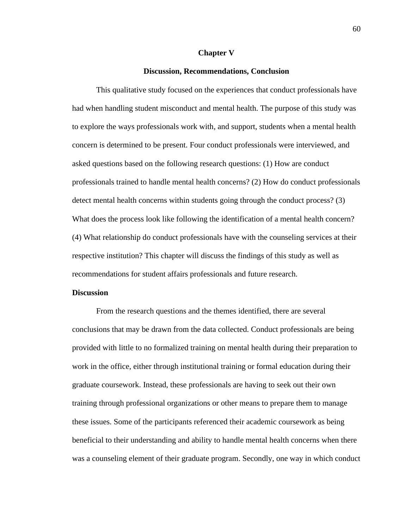#### **Chapter V**

## **Discussion, Recommendations, Conclusion**

This qualitative study focused on the experiences that conduct professionals have had when handling student misconduct and mental health. The purpose of this study was to explore the ways professionals work with, and support, students when a mental health concern is determined to be present. Four conduct professionals were interviewed, and asked questions based on the following research questions: (1) How are conduct professionals trained to handle mental health concerns? (2) How do conduct professionals detect mental health concerns within students going through the conduct process? (3) What does the process look like following the identification of a mental health concern? (4) What relationship do conduct professionals have with the counseling services at their respective institution? This chapter will discuss the findings of this study as well as recommendations for student affairs professionals and future research.

#### **Discussion**

From the research questions and the themes identified, there are several conclusions that may be drawn from the data collected. Conduct professionals are being provided with little to no formalized training on mental health during their preparation to work in the office, either through institutional training or formal education during their graduate coursework. Instead, these professionals are having to seek out their own training through professional organizations or other means to prepare them to manage these issues. Some of the participants referenced their academic coursework as being beneficial to their understanding and ability to handle mental health concerns when there was a counseling element of their graduate program. Secondly, one way in which conduct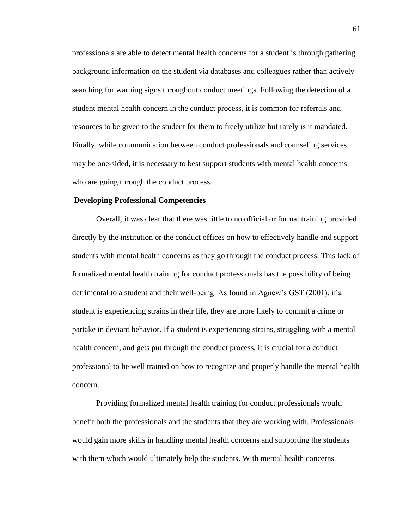professionals are able to detect mental health concerns for a student is through gathering background information on the student via databases and colleagues rather than actively searching for warning signs throughout conduct meetings. Following the detection of a student mental health concern in the conduct process, it is common for referrals and resources to be given to the student for them to freely utilize but rarely is it mandated. Finally, while communication between conduct professionals and counseling services may be one-sided, it is necessary to best support students with mental health concerns who are going through the conduct process.

### **Developing Professional Competencies**

Overall, it was clear that there was little to no official or formal training provided directly by the institution or the conduct offices on how to effectively handle and support students with mental health concerns as they go through the conduct process. This lack of formalized mental health training for conduct professionals has the possibility of being detrimental to a student and their well-being. As found in Agnew's GST (2001), if a student is experiencing strains in their life, they are more likely to commit a crime or partake in deviant behavior. If a student is experiencing strains, struggling with a mental health concern, and gets put through the conduct process, it is crucial for a conduct professional to be well trained on how to recognize and properly handle the mental health concern.

Providing formalized mental health training for conduct professionals would benefit both the professionals and the students that they are working with. Professionals would gain more skills in handling mental health concerns and supporting the students with them which would ultimately help the students. With mental health concerns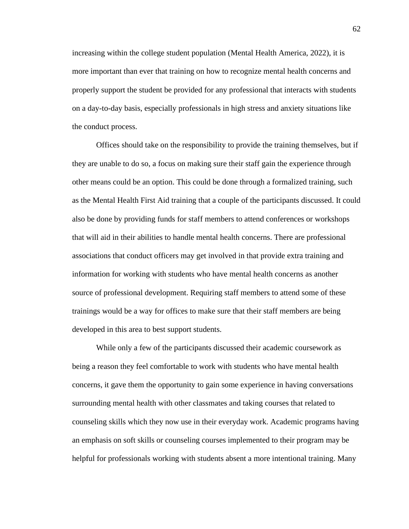increasing within the college student population (Mental Health America, 2022), it is more important than ever that training on how to recognize mental health concerns and properly support the student be provided for any professional that interacts with students on a day-to-day basis, especially professionals in high stress and anxiety situations like the conduct process.

Offices should take on the responsibility to provide the training themselves, but if they are unable to do so, a focus on making sure their staff gain the experience through other means could be an option. This could be done through a formalized training, such as the Mental Health First Aid training that a couple of the participants discussed. It could also be done by providing funds for staff members to attend conferences or workshops that will aid in their abilities to handle mental health concerns. There are professional associations that conduct officers may get involved in that provide extra training and information for working with students who have mental health concerns as another source of professional development. Requiring staff members to attend some of these trainings would be a way for offices to make sure that their staff members are being developed in this area to best support students.

While only a few of the participants discussed their academic coursework as being a reason they feel comfortable to work with students who have mental health concerns, it gave them the opportunity to gain some experience in having conversations surrounding mental health with other classmates and taking courses that related to counseling skills which they now use in their everyday work. Academic programs having an emphasis on soft skills or counseling courses implemented to their program may be helpful for professionals working with students absent a more intentional training. Many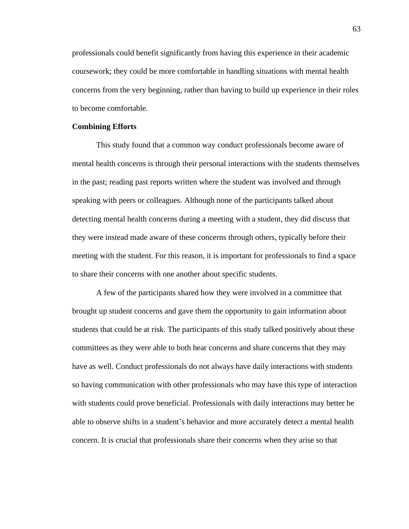professionals could benefit significantly from having this experience in their academic coursework; they could be more comfortable in handling situations with mental health concerns from the very beginning, rather than having to build up experience in their roles to become comfortable.

### **Combining Efforts**

This study found that a common way conduct professionals become aware of mental health concerns is through their personal interactions with the students themselves in the past; reading past reports written where the student was involved and through speaking with peers or colleagues. Although none of the participants talked about detecting mental health concerns during a meeting with a student, they did discuss that they were instead made aware of these concerns through others, typically before their meeting with the student. For this reason, it is important for professionals to find a space to share their concerns with one another about specific students.

A few of the participants shared how they were involved in a committee that brought up student concerns and gave them the opportunity to gain information about students that could be at risk. The participants of this study talked positively about these committees as they were able to both hear concerns and share concerns that they may have as well. Conduct professionals do not always have daily interactions with students so having communication with other professionals who may have this type of interaction with students could prove beneficial. Professionals with daily interactions may better be able to observe shifts in a student's behavior and more accurately detect a mental health concern. It is crucial that professionals share their concerns when they arise so that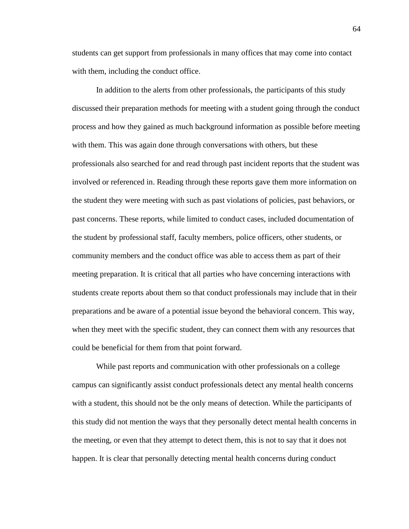students can get support from professionals in many offices that may come into contact with them, including the conduct office.

In addition to the alerts from other professionals, the participants of this study discussed their preparation methods for meeting with a student going through the conduct process and how they gained as much background information as possible before meeting with them. This was again done through conversations with others, but these professionals also searched for and read through past incident reports that the student was involved or referenced in. Reading through these reports gave them more information on the student they were meeting with such as past violations of policies, past behaviors, or past concerns. These reports, while limited to conduct cases, included documentation of the student by professional staff, faculty members, police officers, other students, or community members and the conduct office was able to access them as part of their meeting preparation. It is critical that all parties who have concerning interactions with students create reports about them so that conduct professionals may include that in their preparations and be aware of a potential issue beyond the behavioral concern. This way, when they meet with the specific student, they can connect them with any resources that could be beneficial for them from that point forward.

While past reports and communication with other professionals on a college campus can significantly assist conduct professionals detect any mental health concerns with a student, this should not be the only means of detection. While the participants of this study did not mention the ways that they personally detect mental health concerns in the meeting, or even that they attempt to detect them, this is not to say that it does not happen. It is clear that personally detecting mental health concerns during conduct

64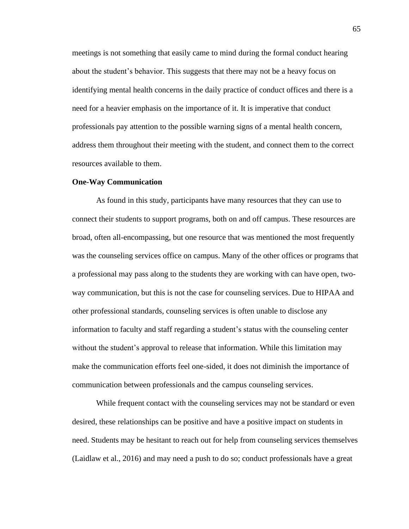meetings is not something that easily came to mind during the formal conduct hearing about the student's behavior. This suggests that there may not be a heavy focus on identifying mental health concerns in the daily practice of conduct offices and there is a need for a heavier emphasis on the importance of it. It is imperative that conduct professionals pay attention to the possible warning signs of a mental health concern, address them throughout their meeting with the student, and connect them to the correct resources available to them.

#### **One-Way Communication**

As found in this study, participants have many resources that they can use to connect their students to support programs, both on and off campus. These resources are broad, often all-encompassing, but one resource that was mentioned the most frequently was the counseling services office on campus. Many of the other offices or programs that a professional may pass along to the students they are working with can have open, twoway communication, but this is not the case for counseling services. Due to HIPAA and other professional standards, counseling services is often unable to disclose any information to faculty and staff regarding a student's status with the counseling center without the student's approval to release that information. While this limitation may make the communication efforts feel one-sided, it does not diminish the importance of communication between professionals and the campus counseling services.

While frequent contact with the counseling services may not be standard or even desired, these relationships can be positive and have a positive impact on students in need. Students may be hesitant to reach out for help from counseling services themselves (Laidlaw et al., 2016) and may need a push to do so; conduct professionals have a great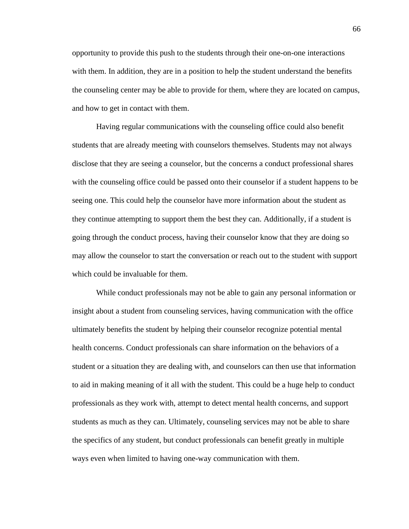opportunity to provide this push to the students through their one-on-one interactions with them. In addition, they are in a position to help the student understand the benefits the counseling center may be able to provide for them, where they are located on campus, and how to get in contact with them.

Having regular communications with the counseling office could also benefit students that are already meeting with counselors themselves. Students may not always disclose that they are seeing a counselor, but the concerns a conduct professional shares with the counseling office could be passed onto their counselor if a student happens to be seeing one. This could help the counselor have more information about the student as they continue attempting to support them the best they can. Additionally, if a student is going through the conduct process, having their counselor know that they are doing so may allow the counselor to start the conversation or reach out to the student with support which could be invaluable for them.

While conduct professionals may not be able to gain any personal information or insight about a student from counseling services, having communication with the office ultimately benefits the student by helping their counselor recognize potential mental health concerns. Conduct professionals can share information on the behaviors of a student or a situation they are dealing with, and counselors can then use that information to aid in making meaning of it all with the student. This could be a huge help to conduct professionals as they work with, attempt to detect mental health concerns, and support students as much as they can. Ultimately, counseling services may not be able to share the specifics of any student, but conduct professionals can benefit greatly in multiple ways even when limited to having one-way communication with them.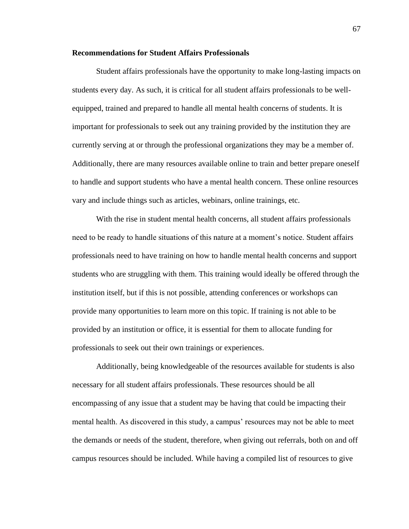#### **Recommendations for Student Affairs Professionals**

Student affairs professionals have the opportunity to make long-lasting impacts on students every day. As such, it is critical for all student affairs professionals to be wellequipped, trained and prepared to handle all mental health concerns of students. It is important for professionals to seek out any training provided by the institution they are currently serving at or through the professional organizations they may be a member of. Additionally, there are many resources available online to train and better prepare oneself to handle and support students who have a mental health concern. These online resources vary and include things such as articles, webinars, online trainings, etc.

With the rise in student mental health concerns, all student affairs professionals need to be ready to handle situations of this nature at a moment's notice. Student affairs professionals need to have training on how to handle mental health concerns and support students who are struggling with them. This training would ideally be offered through the institution itself, but if this is not possible, attending conferences or workshops can provide many opportunities to learn more on this topic. If training is not able to be provided by an institution or office, it is essential for them to allocate funding for professionals to seek out their own trainings or experiences.

Additionally, being knowledgeable of the resources available for students is also necessary for all student affairs professionals. These resources should be all encompassing of any issue that a student may be having that could be impacting their mental health. As discovered in this study, a campus' resources may not be able to meet the demands or needs of the student, therefore, when giving out referrals, both on and off campus resources should be included. While having a compiled list of resources to give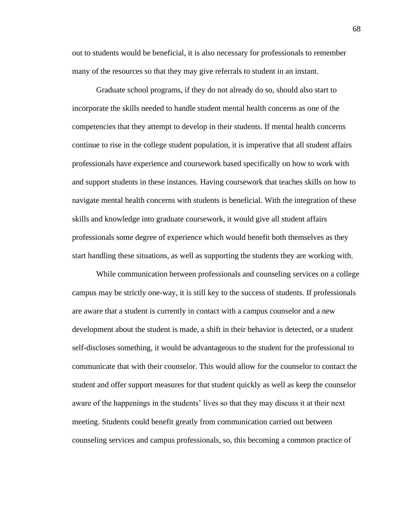out to students would be beneficial, it is also necessary for professionals to remember many of the resources so that they may give referrals to student in an instant.

Graduate school programs, if they do not already do so, should also start to incorporate the skills needed to handle student mental health concerns as one of the competencies that they attempt to develop in their students. If mental health concerns continue to rise in the college student population, it is imperative that all student affairs professionals have experience and coursework based specifically on how to work with and support students in these instances. Having coursework that teaches skills on how to navigate mental health concerns with students is beneficial. With the integration of these skills and knowledge into graduate coursework, it would give all student affairs professionals some degree of experience which would benefit both themselves as they start handling these situations, as well as supporting the students they are working with.

While communication between professionals and counseling services on a college campus may be strictly one-way, it is still key to the success of students. If professionals are aware that a student is currently in contact with a campus counselor and a new development about the student is made, a shift in their behavior is detected, or a student self-discloses something, it would be advantageous to the student for the professional to communicate that with their counselor. This would allow for the counselor to contact the student and offer support measures for that student quickly as well as keep the counselor aware of the happenings in the students' lives so that they may discuss it at their next meeting. Students could benefit greatly from communication carried out between counseling services and campus professionals, so, this becoming a common practice of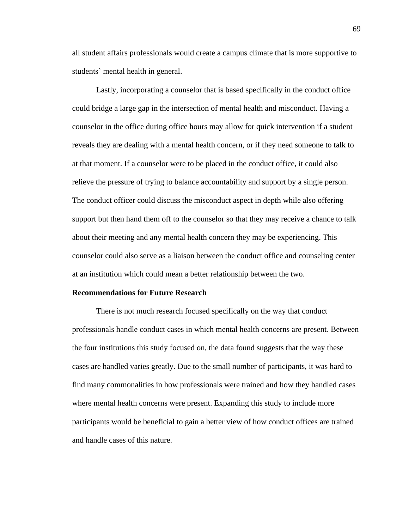all student affairs professionals would create a campus climate that is more supportive to students' mental health in general.

Lastly, incorporating a counselor that is based specifically in the conduct office could bridge a large gap in the intersection of mental health and misconduct. Having a counselor in the office during office hours may allow for quick intervention if a student reveals they are dealing with a mental health concern, or if they need someone to talk to at that moment. If a counselor were to be placed in the conduct office, it could also relieve the pressure of trying to balance accountability and support by a single person. The conduct officer could discuss the misconduct aspect in depth while also offering support but then hand them off to the counselor so that they may receive a chance to talk about their meeting and any mental health concern they may be experiencing. This counselor could also serve as a liaison between the conduct office and counseling center at an institution which could mean a better relationship between the two.

#### **Recommendations for Future Research**

There is not much research focused specifically on the way that conduct professionals handle conduct cases in which mental health concerns are present. Between the four institutions this study focused on, the data found suggests that the way these cases are handled varies greatly. Due to the small number of participants, it was hard to find many commonalities in how professionals were trained and how they handled cases where mental health concerns were present. Expanding this study to include more participants would be beneficial to gain a better view of how conduct offices are trained and handle cases of this nature.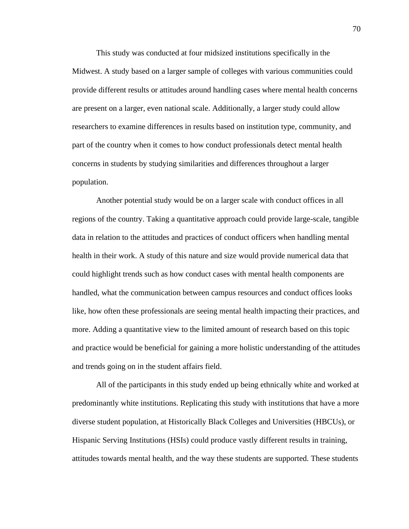This study was conducted at four midsized institutions specifically in the Midwest. A study based on a larger sample of colleges with various communities could provide different results or attitudes around handling cases where mental health concerns are present on a larger, even national scale. Additionally, a larger study could allow researchers to examine differences in results based on institution type, community, and part of the country when it comes to how conduct professionals detect mental health concerns in students by studying similarities and differences throughout a larger population.

Another potential study would be on a larger scale with conduct offices in all regions of the country. Taking a quantitative approach could provide large-scale, tangible data in relation to the attitudes and practices of conduct officers when handling mental health in their work. A study of this nature and size would provide numerical data that could highlight trends such as how conduct cases with mental health components are handled, what the communication between campus resources and conduct offices looks like, how often these professionals are seeing mental health impacting their practices, and more. Adding a quantitative view to the limited amount of research based on this topic and practice would be beneficial for gaining a more holistic understanding of the attitudes and trends going on in the student affairs field.

All of the participants in this study ended up being ethnically white and worked at predominantly white institutions. Replicating this study with institutions that have a more diverse student population, at Historically Black Colleges and Universities (HBCUs), or Hispanic Serving Institutions (HSIs) could produce vastly different results in training, attitudes towards mental health, and the way these students are supported. These students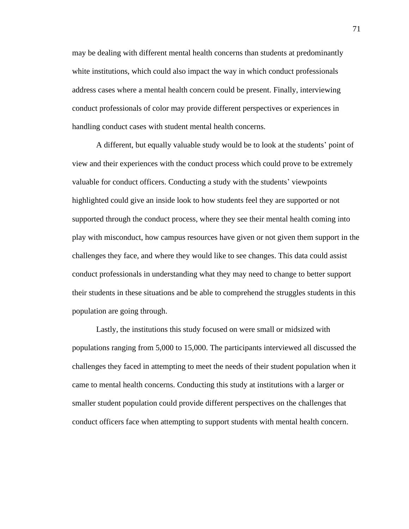may be dealing with different mental health concerns than students at predominantly white institutions, which could also impact the way in which conduct professionals address cases where a mental health concern could be present. Finally, interviewing conduct professionals of color may provide different perspectives or experiences in handling conduct cases with student mental health concerns.

A different, but equally valuable study would be to look at the students' point of view and their experiences with the conduct process which could prove to be extremely valuable for conduct officers. Conducting a study with the students' viewpoints highlighted could give an inside look to how students feel they are supported or not supported through the conduct process, where they see their mental health coming into play with misconduct, how campus resources have given or not given them support in the challenges they face, and where they would like to see changes. This data could assist conduct professionals in understanding what they may need to change to better support their students in these situations and be able to comprehend the struggles students in this population are going through.

Lastly, the institutions this study focused on were small or midsized with populations ranging from 5,000 to 15,000. The participants interviewed all discussed the challenges they faced in attempting to meet the needs of their student population when it came to mental health concerns. Conducting this study at institutions with a larger or smaller student population could provide different perspectives on the challenges that conduct officers face when attempting to support students with mental health concern.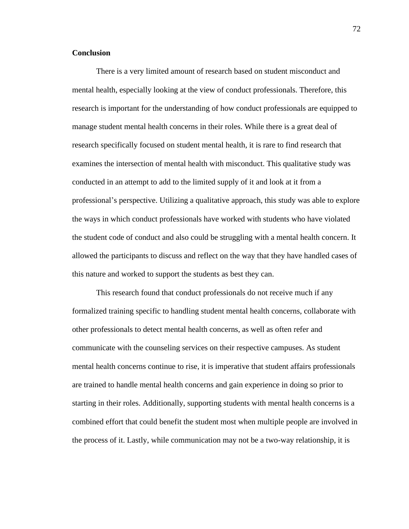#### **Conclusion**

There is a very limited amount of research based on student misconduct and mental health, especially looking at the view of conduct professionals. Therefore, this research is important for the understanding of how conduct professionals are equipped to manage student mental health concerns in their roles. While there is a great deal of research specifically focused on student mental health, it is rare to find research that examines the intersection of mental health with misconduct. This qualitative study was conducted in an attempt to add to the limited supply of it and look at it from a professional's perspective. Utilizing a qualitative approach, this study was able to explore the ways in which conduct professionals have worked with students who have violated the student code of conduct and also could be struggling with a mental health concern. It allowed the participants to discuss and reflect on the way that they have handled cases of this nature and worked to support the students as best they can.

This research found that conduct professionals do not receive much if any formalized training specific to handling student mental health concerns, collaborate with other professionals to detect mental health concerns, as well as often refer and communicate with the counseling services on their respective campuses. As student mental health concerns continue to rise, it is imperative that student affairs professionals are trained to handle mental health concerns and gain experience in doing so prior to starting in their roles. Additionally, supporting students with mental health concerns is a combined effort that could benefit the student most when multiple people are involved in the process of it. Lastly, while communication may not be a two-way relationship, it is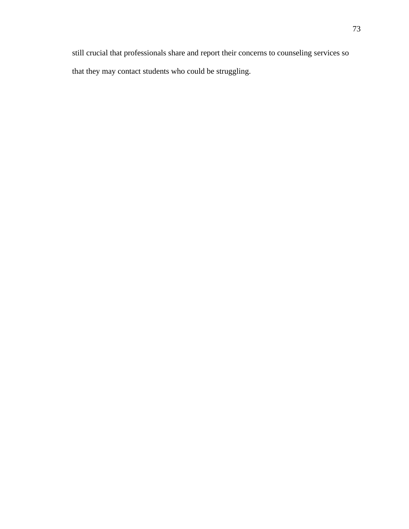still crucial that professionals share and report their concerns to counseling services so that they may contact students who could be struggling.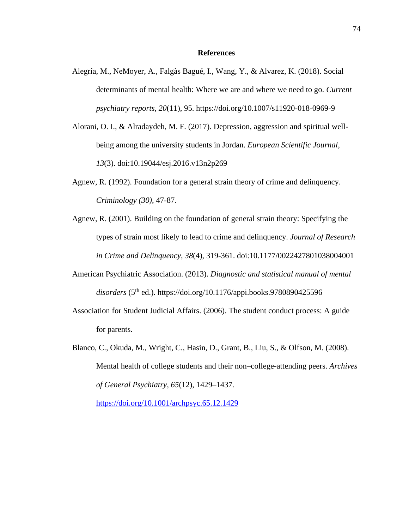#### **References**

- Alegría, M., NeMoyer, A., Falgàs Bagué, I., Wang, Y., & Alvarez, K. (2018). Social determinants of mental health: Where we are and where we need to go. *Current psychiatry reports, 20*(11), 95. https://doi.org/10.1007/s11920-018-0969-9
- Alorani, O. I., & Alradaydeh, M. F. (2017). Depression, aggression and spiritual wellbeing among the university students in Jordan. *European Scientific Journal, 13*(3). doi:10.19044/esj.2016.v13n2p269
- Agnew, R. (1992). Foundation for a general strain theory of crime and delinquency. *Criminology (30)*, 47-87.
- Agnew, R. (2001). Building on the foundation of general strain theory: Specifying the types of strain most likely to lead to crime and delinquency. *Journal of Research in Crime and Delinquency, 38*(4), 319-361. doi:10.1177/0022427801038004001
- American Psychiatric Association. (2013). *Diagnostic and statistical manual of mental*  disorders (5<sup>th</sup> ed.). https://doi.org/10.1176/appi.books.9780890425596
- Association for Student Judicial Affairs. (2006). The student conduct process: A guide for parents.
- Blanco, C., Okuda, M., Wright, C., Hasin, D., Grant, B., Liu, S., & Olfson, M. (2008). Mental health of college students and their non–college-attending peers. *Archives of General Psychiatry*, *65*(12), 1429–1437. <https://doi.org/10.1001/archpsyc.65.12.1429>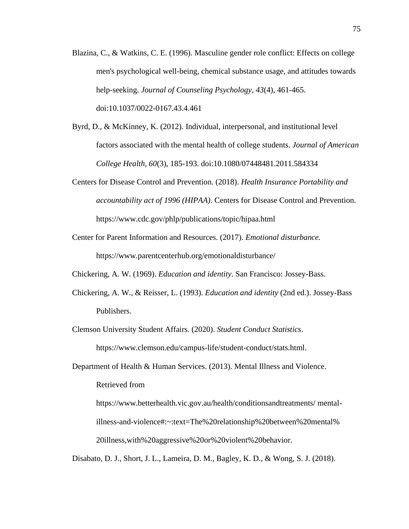- Blazina, C., & Watkins, C. E. (1996). Masculine gender role conflict: Effects on college men's psychological well-being, chemical substance usage, and attitudes towards help-seeking. *Journal of Counseling Psychology, 43*(4), 461-465. doi:10.1037/0022-0167.43.4.461
- Byrd, D., & McKinney, K. (2012). Individual, interpersonal, and institutional level factors associated with the mental health of college students. *Journal of American College Health, 60*(3), 185-193. doi:10.1080/07448481.2011.584334
- Centers for Disease Control and Prevention. (2018). *Health Insurance Portability and accountability act of 1996 (HIPAA)*. Centers for Disease Control and Prevention. https://www.cdc.gov/phlp/publications/topic/hipaa.html
- Center for Parent Information and Resources. (2017). *Emotional disturbance.* https://www.parentcenterhub.org/emotionaldisturbance/
- Chickering, A. W. (1969). *Education and identity*. San Francisco: Jossey-Bass.
- Chickering, A. W., & Reisser, L. (1993). *Education and identity* (2nd ed.). Jossey-Bass Publishers.
- Clemson University Student Affairs. (2020). *Student Conduct Statistics*. https://www.clemson.edu/campus-life/student-conduct/stats.html.
- Department of Health & Human Services. (2013). Mental Illness and Violence. Retrieved from

https://www.betterhealth.vic.gov.au/health/conditionsandtreatments/ mentalillness-and-violence#:~:text=The%20relationship%20between%20mental% 20illness,with%20aggressive%20or%20violent%20behavior.

Disabato, D. J., Short, J. L., Lameira, D. M., Bagley, K. D., & Wong, S. J. (2018).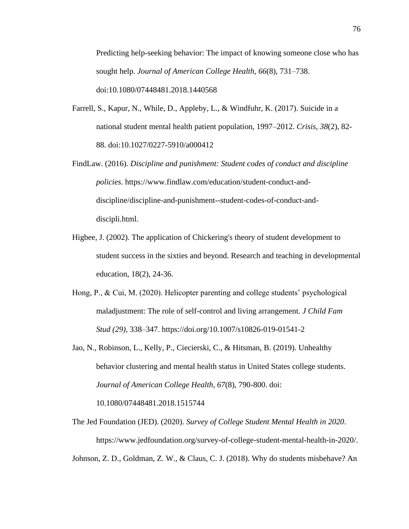Predicting help-seeking behavior: The impact of knowing someone close who has sought help. *Journal of American College Health*, *66*(8), 731–738. doi:10.1080/07448481.2018.1440568

- Farrell, S., Kapur, N., While, D., Appleby, L., & Windfuhr, K. (2017). Suicide in a national student mental health patient population, 1997–2012. *Crisis, 38*(2), 82- 88. doi:10.1027/0227-5910/a000412
- FindLaw. (2016). *Discipline and punishment: Student codes of conduct and discipline policies*. https://www.findlaw.com/education/student-conduct-anddiscipline/discipline-and-punishment--student-codes-of-conduct-anddiscipli.html.
- Higbee, J. (2002). The application of Chickering's theory of student development to student success in the sixties and beyond. Research and teaching in developmental education, 18(2), 24-36.
- Hong, P., & Cui, M. (2020). Helicopter parenting and college students' psychological maladjustment: The role of self-control and living arrangement. *J Child Fam Stud (29),* 338–347. https://doi.org/10.1007/s10826-019-01541-2
- Jao, N., Robinson, L., Kelly, P., Ciecierski, C., & Hitsman, B. (2019). Unhealthy behavior clustering and mental health status in United States college students. *Journal of American College Health, 67*(8), 790-800. doi:

10.1080/07448481.2018.1515744

The Jed Foundation (JED). (2020). *Survey of College Student Mental Health in 2020*. https://www.jedfoundation.org/survey-of-college-student-mental-health-in-2020/.

Johnson, Z. D., Goldman, Z. W., & Claus, C. J. (2018). Why do students misbehave? An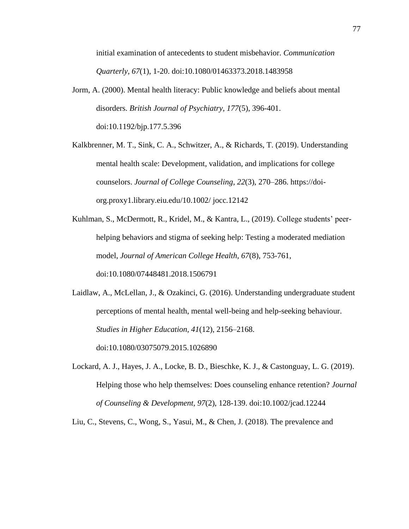initial examination of antecedents to student misbehavior. *Communication Quarterly, 67*(1), 1-20. doi:10.1080/01463373.2018.1483958

Jorm, A. (2000). Mental health literacy: Public knowledge and beliefs about mental disorders. *British Journal of Psychiatry, 177*(5), 396-401. doi:10.1192/bjp.177.5.396

Kalkbrenner, M. T., Sink, C. A., Schwitzer, A., & Richards, T. (2019). Understanding mental health scale: Development, validation, and implications for college counselors. *Journal of College Counseling*, *22*(3), 270–286. https://doiorg.proxy1.library.eiu.edu/10.1002/ jocc.12142

Kuhlman, S., McDermott, R., Kridel, M., & Kantra, L., (2019). College students' peerhelping behaviors and stigma of seeking help: Testing a moderated mediation model, *Journal of American College Health, 67*(8), 753-761, doi:10.1080/07448481.2018.1506791

Laidlaw, A., McLellan, J., & Ozakinci, G. (2016). Understanding undergraduate student perceptions of mental health, mental well-being and help-seeking behaviour. *Studies in Higher Education, 41*(12), 2156–2168. doi:10.1080/03075079.2015.1026890

Lockard, A. J., Hayes, J. A., Locke, B. D., Bieschke, K. J., & Castonguay, L. G. (2019). Helping those who help themselves: Does counseling enhance retention? *Journal of Counseling & Development, 97*(2), 128-139. doi:10.1002/jcad.12244

Liu, C., Stevens, C., Wong, S., Yasui, M., & Chen, J. (2018). The prevalence and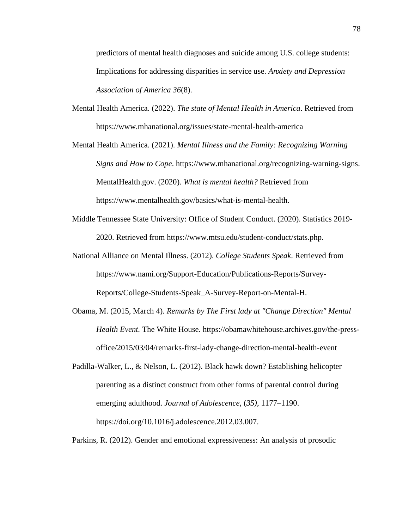predictors of mental health diagnoses and suicide among U.S. college students: Implications for addressing disparities in service use. *Anxiety and Depression Association of America 36*(8).

- Mental Health America. (2022). *The state of Mental Health in America*. Retrieved from https://www.mhanational.org/issues/state-mental-health-america
- Mental Health America. (2021). *Mental Illness and the Family: Recognizing Warning Signs and How to Cope*. https://www.mhanational.org/recognizing-warning-signs. MentalHealth.gov. (2020). *What is mental health?* Retrieved from https://www.mentalhealth.gov/basics/what-is-mental-health.
- Middle Tennessee State University: Office of Student Conduct. (2020). Statistics 2019- 2020. Retrieved from https://www.mtsu.edu/student-conduct/stats.php.
- National Alliance on Mental Illness. (2012). *College Students Speak*. Retrieved from https://www.nami.org/Support-Education/Publications-Reports/Survey-Reports/College-Students-Speak\_A-Survey-Report-on-Mental-H.
- Obama, M. (2015, March 4). *Remarks by The First lady at "Change Direction" Mental Health Event.* The White House. https://obamawhitehouse.archives.gov/the-pressoffice/2015/03/04/remarks-first-lady-change-direction-mental-health-event
- Padilla-Walker, L., & Nelson, L. (2012). Black hawk down? Establishing helicopter parenting as a distinct construct from other forms of parental control during emerging adulthood. *Journal of Adolescence,* (*35)*, 1177–1190. https://doi.org/10.1016/j.adolescence.2012.03.007.

Parkins, R. (2012). Gender and emotional expressiveness: An analysis of prosodic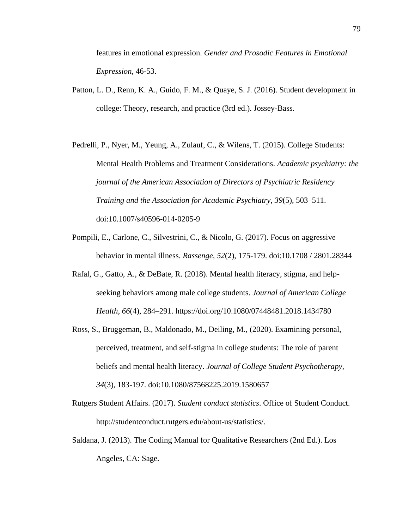features in emotional expression. *Gender and Prosodic Features in Emotional Expression,* 46-53.

- Patton, L. D., Renn, K. A., Guido, F. M., & Quaye, S. J. (2016). Student development in college: Theory, research, and practice (3rd ed.). Jossey-Bass.
- Pedrelli, P., Nyer, M., Yeung, A., Zulauf, C., & Wilens, T. (2015). College Students: Mental Health Problems and Treatment Considerations. *Academic psychiatry: the journal of the American Association of Directors of Psychiatric Residency Training and the Association for Academic Psychiatry*, *39*(5), 503–511. doi:10.1007/s40596-014-0205-9
- Pompili, E., Carlone, C., Silvestrini, C., & Nicolo, G. (2017). Focus on aggressive behavior in mental illness. *Rassenge, 52*(2), 175-179. doi:10.1708 / 2801.28344
- Rafal, G., Gatto, A., & DeBate, R. (2018). Mental health literacy, stigma, and helpseeking behaviors among male college students. *Journal of American College Health, 66*(4), 284–291. https://doi.org/10.1080/07448481.2018.1434780
- Ross, S., Bruggeman, B., Maldonado, M., Deiling, M., (2020). Examining personal, perceived, treatment, and self-stigma in college students: The role of parent beliefs and mental health literacy. *Journal of College Student Psychotherapy, 34*(3), 183-197. doi:10.1080/87568225.2019.1580657
- Rutgers Student Affairs. (2017). *Student conduct statistics*. Office of Student Conduct. http://studentconduct.rutgers.edu/about-us/statistics/.
- Saldana, J. (2013). The Coding Manual for Qualitative Researchers (2nd Ed.). Los Angeles, CA: Sage.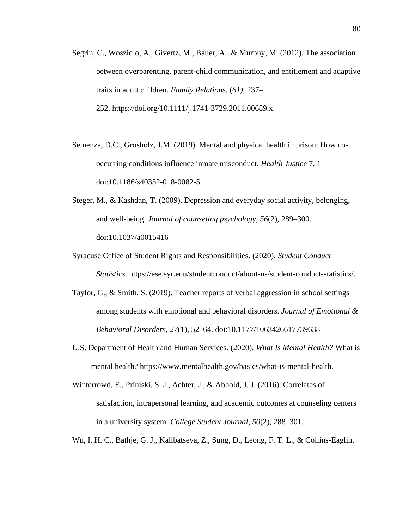- Segrin, C., Woszidlo, A., Givertz, M., Bauer, A., & Murphy, M. (2012). The association between overparenting, parent-child communication, and entitlement and adaptive traits in adult children. *Family Relations*, (*61)*, 237– 252. https://doi.org/10.1111/j.1741-3729.2011.00689.x.
- Semenza, D.C., Grosholz, J.M. (2019). Mental and physical health in prison: How cooccurring conditions influence inmate misconduct. *Health Justice* 7, 1 doi:10.1186/s40352-018-0082-5
- Steger, M., & Kashdan, T. (2009). Depression and everyday social activity, belonging, and well-being. *Journal of counseling psychology*, *56*(2), 289–300. doi:10.1037/a0015416
- Syracuse Office of Student Rights and Responsibilities. (2020). *Student Conduct Statistics*. https://ese.syr.edu/studentconduct/about-us/student-conduct-statistics/.
- Taylor, G., & Smith, S. (2019). Teacher reports of verbal aggression in school settings among students with emotional and behavioral disorders. *Journal of Emotional & Behavioral Disorders, 27*(1), 52–64. doi:10.1177/1063426617739638
- U.S. Department of Health and Human Services. (2020). *What Is Mental Health?* What is mental health? https://www.mentalhealth.gov/basics/what-is-mental-health.
- Winterrowd, E., Priniski, S. J., Achter, J., & Abhold, J. J. (2016). Correlates of satisfaction, intrapersonal learning, and academic outcomes at counseling centers in a university system. *College Student Journal, 50*(2), 288–301.
- Wu, I. H. C., Bathje, G. J., Kalibatseva, Z., Sung, D., Leong, F. T. L., & Collins-Eaglin,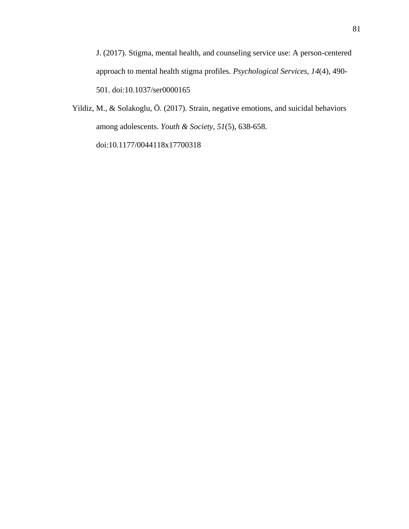J. (2017). Stigma, mental health, and counseling service use: A person-centered approach to mental health stigma profiles. *Psychological Services, 14*(4), 490- 501. doi:10.1037/ser0000165

Yildiz, M., & Solakoglu, Ö. (2017). Strain, negative emotions, and suicidal behaviors among adolescents. *Youth & Society, 51*(5), 638-658. doi:10.1177/0044118x17700318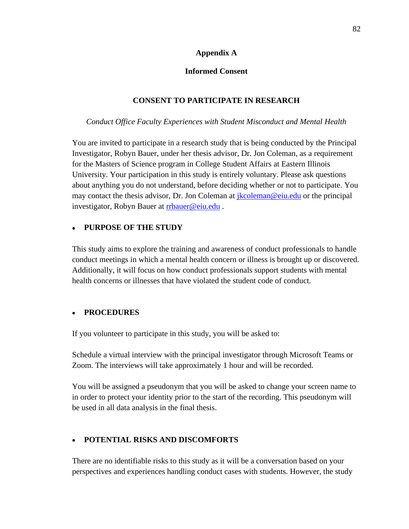## **Appendix A**

## **Informed Consent**

## **CONSENT TO PARTICIPATE IN RESEARCH**

## *Conduct Office Faculty Experiences with Student Misconduct and Mental Health*

You are invited to participate in a research study that is being conducted by the Principal Investigator, Robyn Bauer, under her thesis advisor, Dr. Jon Coleman, as a requirement for the Masters of Science program in College Student Affairs at Eastern Illinois University. Your participation in this study is entirely voluntary. Please ask questions about anything you do not understand, before deciding whether or not to participate. You may contact the thesis advisor, Dr. Jon Coleman at *jkcoleman@eiu.edu* or the principal investigator, Robyn Bauer at [rrbauer@eiu.edu](mailto:rrbauer@eiu.edu) .

## • **PURPOSE OF THE STUDY**

This study aims to explore the training and awareness of conduct professionals to handle conduct meetings in which a mental health concern or illness is brought up or discovered. Additionally, it will focus on how conduct professionals support students with mental health concerns or illnesses that have violated the student code of conduct.

## • **PROCEDURES**

If you volunteer to participate in this study, you will be asked to:

Schedule a virtual interview with the principal investigator through Microsoft Teams or Zoom. The interviews will take approximately 1 hour and will be recorded.

You will be assigned a pseudonym that you will be asked to change your screen name to in order to protect your identity prior to the start of the recording. This pseudonym will be used in all data analysis in the final thesis.

# • **POTENTIAL RISKS AND DISCOMFORTS**

There are no identifiable risks to this study as it will be a conversation based on your perspectives and experiences handling conduct cases with students. However, the study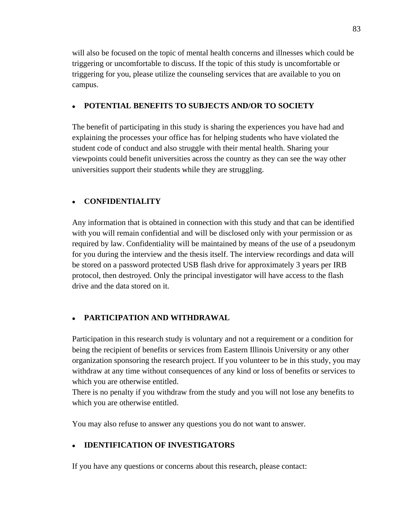will also be focused on the topic of mental health concerns and illnesses which could be triggering or uncomfortable to discuss. If the topic of this study is uncomfortable or triggering for you, please utilize the counseling services that are available to you on campus.

## • **POTENTIAL BENEFITS TO SUBJECTS AND/OR TO SOCIETY**

The benefit of participating in this study is sharing the experiences you have had and explaining the processes your office has for helping students who have violated the student code of conduct and also struggle with their mental health. Sharing your viewpoints could benefit universities across the country as they can see the way other universities support their students while they are struggling.

## • **CONFIDENTIALITY**

Any information that is obtained in connection with this study and that can be identified with you will remain confidential and will be disclosed only with your permission or as required by law. Confidentiality will be maintained by means of the use of a pseudonym for you during the interview and the thesis itself. The interview recordings and data will be stored on a password protected USB flash drive for approximately 3 years per IRB protocol, then destroyed. Only the principal investigator will have access to the flash drive and the data stored on it.

# • **PARTICIPATION AND WITHDRAWAL**

Participation in this research study is voluntary and not a requirement or a condition for being the recipient of benefits or services from Eastern Illinois University or any other organization sponsoring the research project. If you volunteer to be in this study, you may withdraw at any time without consequences of any kind or loss of benefits or services to which you are otherwise entitled.

There is no penalty if you withdraw from the study and you will not lose any benefits to which you are otherwise entitled.

You may also refuse to answer any questions you do not want to answer.

## • **IDENTIFICATION OF INVESTIGATORS**

If you have any questions or concerns about this research, please contact: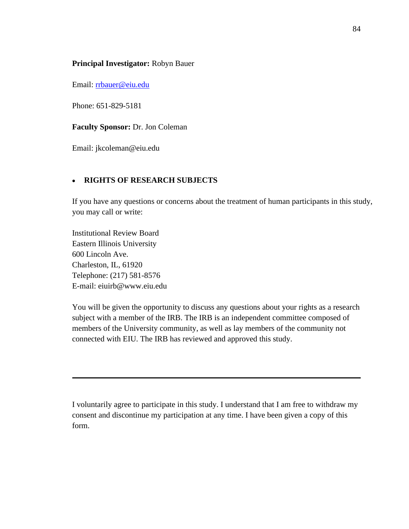### **Principal Investigator:** Robyn Bauer

Email: [rrbauer@eiu.edu](mailto:rrbauer@eiu.edu)

Phone: 651-829-5181

**Faculty Sponsor:** Dr. Jon Coleman

Email: jkcoleman@eiu.edu

## • **RIGHTS OF RESEARCH SUBJECTS**

If you have any questions or concerns about the treatment of human participants in this study, you may call or write:

Institutional Review Board Eastern Illinois University 600 Lincoln Ave. Charleston, IL, 61920 Telephone: (217) 581-8576 E-mail: eiuirb@www.eiu.edu

You will be given the opportunity to discuss any questions about your rights as a research subject with a member of the IRB. The IRB is an independent committee composed of members of the University community, as well as lay members of the community not connected with EIU. The IRB has reviewed and approved this study.

I voluntarily agree to participate in this study. I understand that I am free to withdraw my consent and discontinue my participation at any time. I have been given a copy of this form.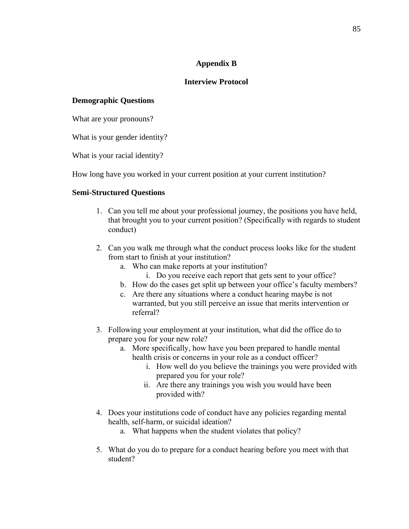## **Appendix B**

## **Interview Protocol**

## **Demographic Questions**

What are your pronouns?

What is your gender identity?

What is your racial identity?

How long have you worked in your current position at your current institution?

## **Semi-Structured Questions**

- 1. Can you tell me about your professional journey, the positions you have held, that brought you to your current position? (Specifically with regards to student conduct)
- 2. Can you walk me through what the conduct process looks like for the student from start to finish at your institution?
	- a. Who can make reports at your institution?
		- i. Do you receive each report that gets sent to your office?
	- b. How do the cases get split up between your office's faculty members?
	- c. Are there any situations where a conduct hearing maybe is not warranted, but you still perceive an issue that merits intervention or referral?
- 3. Following your employment at your institution, what did the office do to prepare you for your new role?
	- a. More specifically, how have you been prepared to handle mental health crisis or concerns in your role as a conduct officer?
		- i. How well do you believe the trainings you were provided with prepared you for your role?
		- ii. Are there any trainings you wish you would have been provided with?
- 4. Does your institutions code of conduct have any policies regarding mental health, self-harm, or suicidal ideation?
	- a. What happens when the student violates that policy?
- 5. What do you do to prepare for a conduct hearing before you meet with that student?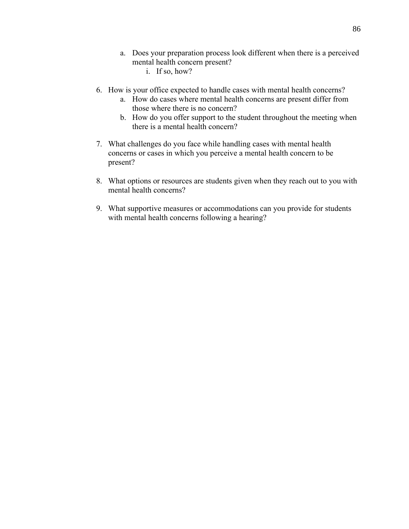- a. Does your preparation process look different when there is a perceived mental health concern present?
	- i. If so, how?
- 6. How is your office expected to handle cases with mental health concerns?
	- a. How do cases where mental health concerns are present differ from those where there is no concern?
	- b. How do you offer support to the student throughout the meeting when there is a mental health concern?
- 7. What challenges do you face while handling cases with mental health concerns or cases in which you perceive a mental health concern to be present?
- 8. What options or resources are students given when they reach out to you with mental health concerns?
- 9. What supportive measures or accommodations can you provide for students with mental health concerns following a hearing?